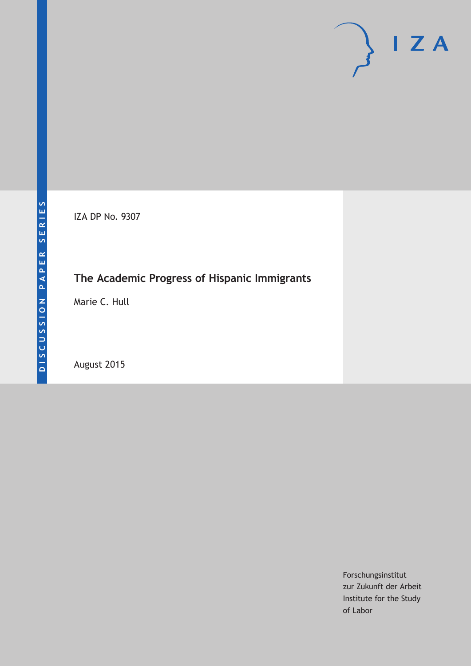IZA DP No. 9307

## **The Academic Progress of Hispanic Immigrants**

Marie C. Hull

August 2015

Forschungsinstitut zur Zukunft der Arbeit Institute for the Study of Labor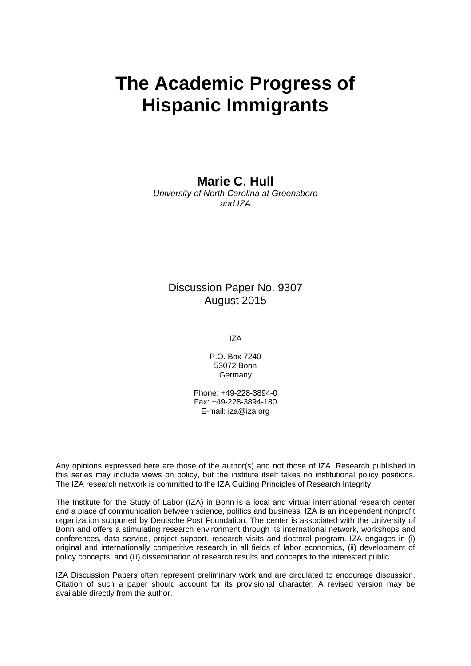# **The Academic Progress of Hispanic Immigrants**

**Marie C. Hull** 

*University of North Carolina at Greensboro and IZA* 

### Discussion Paper No. 9307 August 2015

IZA

P.O. Box 7240 53072 Bonn Germany

Phone: +49-228-3894-0 Fax: +49-228-3894-180 E-mail: iza@iza.org

Any opinions expressed here are those of the author(s) and not those of IZA. Research published in this series may include views on policy, but the institute itself takes no institutional policy positions. The IZA research network is committed to the IZA Guiding Principles of Research Integrity.

The Institute for the Study of Labor (IZA) in Bonn is a local and virtual international research center and a place of communication between science, politics and business. IZA is an independent nonprofit organization supported by Deutsche Post Foundation. The center is associated with the University of Bonn and offers a stimulating research environment through its international network, workshops and conferences, data service, project support, research visits and doctoral program. IZA engages in (i) original and internationally competitive research in all fields of labor economics, (ii) development of policy concepts, and (iii) dissemination of research results and concepts to the interested public.

IZA Discussion Papers often represent preliminary work and are circulated to encourage discussion. Citation of such a paper should account for its provisional character. A revised version may be available directly from the author.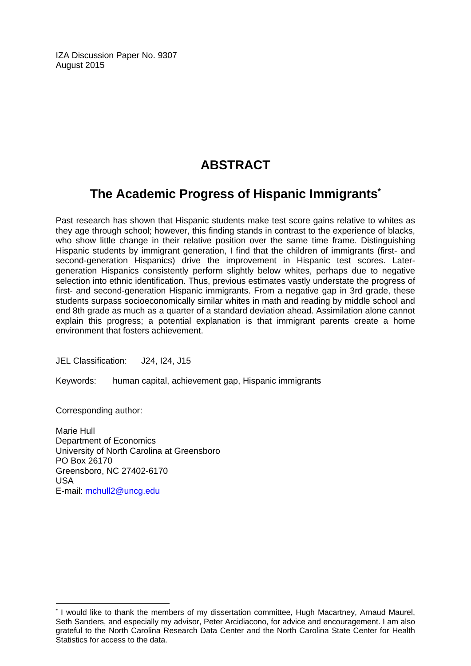IZA Discussion Paper No. 9307 August 2015

## **ABSTRACT**

## **The Academic Progress of Hispanic Immigrants\***

Past research has shown that Hispanic students make test score gains relative to whites as they age through school; however, this finding stands in contrast to the experience of blacks, who show little change in their relative position over the same time frame. Distinguishing Hispanic students by immigrant generation, I find that the children of immigrants (first- and second-generation Hispanics) drive the improvement in Hispanic test scores. Latergeneration Hispanics consistently perform slightly below whites, perhaps due to negative selection into ethnic identification. Thus, previous estimates vastly understate the progress of first- and second-generation Hispanic immigrants. From a negative gap in 3rd grade, these students surpass socioeconomically similar whites in math and reading by middle school and end 8th grade as much as a quarter of a standard deviation ahead. Assimilation alone cannot explain this progress; a potential explanation is that immigrant parents create a home environment that fosters achievement.

JEL Classification: J24, I24, J15

Keywords: human capital, achievement gap, Hispanic immigrants

Corresponding author:

 $\overline{a}$ 

Marie Hull Department of Economics University of North Carolina at Greensboro PO Box 26170 Greensboro, NC 27402-6170 USA E-mail: mchull2@uncg.edu

<sup>\*</sup> I would like to thank the members of my dissertation committee, Hugh Macartney, Arnaud Maurel, Seth Sanders, and especially my advisor, Peter Arcidiacono, for advice and encouragement. I am also grateful to the North Carolina Research Data Center and the North Carolina State Center for Health Statistics for access to the data.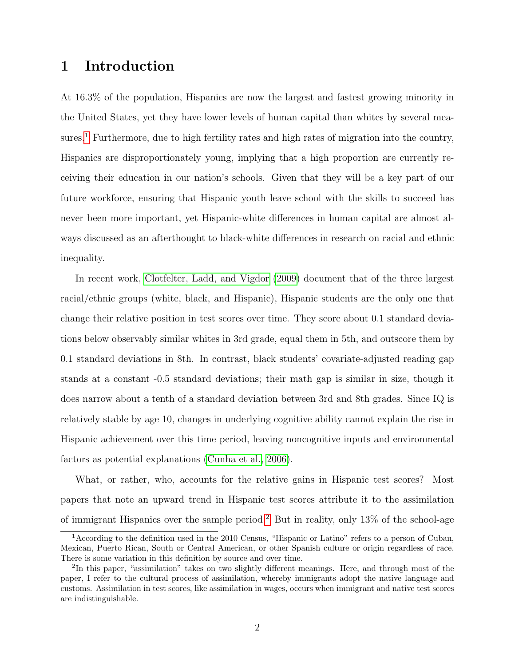## <span id="page-3-2"></span>1 Introduction

At 16.3% of the population, Hispanics are now the largest and fastest growing minority in the United States, yet they have lower levels of human capital than whites by several mea-sures.<sup>[1](#page-3-0)</sup> Furthermore, due to high fertility rates and high rates of migration into the country, Hispanics are disproportionately young, implying that a high proportion are currently receiving their education in our nation's schools. Given that they will be a key part of our future workforce, ensuring that Hispanic youth leave school with the skills to succeed has never been more important, yet Hispanic-white differences in human capital are almost always discussed as an afterthought to black-white differences in research on racial and ethnic inequality.

In recent work, [Clotfelter, Ladd, and Vigdor](#page-30-0) [\(2009\)](#page-30-0) document that of the three largest racial/ethnic groups (white, black, and Hispanic), Hispanic students are the only one that change their relative position in test scores over time. They score about 0.1 standard deviations below observably similar whites in 3rd grade, equal them in 5th, and outscore them by 0.1 standard deviations in 8th. In contrast, black students' covariate-adjusted reading gap stands at a constant -0.5 standard deviations; their math gap is similar in size, though it does narrow about a tenth of a standard deviation between 3rd and 8th grades. Since IQ is relatively stable by age 10, changes in underlying cognitive ability cannot explain the rise in Hispanic achievement over this time period, leaving noncognitive inputs and environmental factors as potential explanations [\(Cunha et al., 2006\)](#page-30-1).

What, or rather, who, accounts for the relative gains in Hispanic test scores? Most papers that note an upward trend in Hispanic test scores attribute it to the assimilation of immigrant Hispanics over the sample period.<sup>[2](#page-3-1)</sup> But in reality, only  $13\%$  of the school-age

<span id="page-3-0"></span><sup>1</sup>According to the definition used in the 2010 Census, "Hispanic or Latino" refers to a person of Cuban, Mexican, Puerto Rican, South or Central American, or other Spanish culture or origin regardless of race. There is some variation in this definition by source and over time.

<span id="page-3-1"></span><sup>&</sup>lt;sup>2</sup>In this paper, "assimilation" takes on two slightly different meanings. Here, and through most of the paper, I refer to the cultural process of assimilation, whereby immigrants adopt the native language and customs. Assimilation in test scores, like assimilation in wages, occurs when immigrant and native test scores are indistinguishable.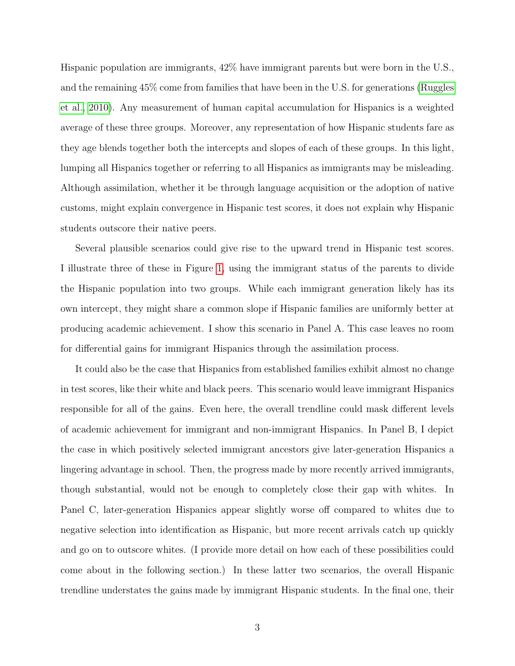Hispanic population are immigrants, 42% have immigrant parents but were born in the U.S., and the remaining 45% come from families that have been in the U.S. for generations [\(Ruggles](#page-31-0) [et al., 2010\)](#page-31-0). Any measurement of human capital accumulation for Hispanics is a weighted average of these three groups. Moreover, any representation of how Hispanic students fare as they age blends together both the intercepts and slopes of each of these groups. In this light, lumping all Hispanics together or referring to all Hispanics as immigrants may be misleading. Although assimilation, whether it be through language acquisition or the adoption of native customs, might explain convergence in Hispanic test scores, it does not explain why Hispanic students outscore their native peers.

Several plausible scenarios could give rise to the upward trend in Hispanic test scores. I illustrate three of these in Figure [1,](#page-43-0) using the immigrant status of the parents to divide the Hispanic population into two groups. While each immigrant generation likely has its own intercept, they might share a common slope if Hispanic families are uniformly better at producing academic achievement. I show this scenario in Panel A. This case leaves no room for differential gains for immigrant Hispanics through the assimilation process.

It could also be the case that Hispanics from established families exhibit almost no change in test scores, like their white and black peers. This scenario would leave immigrant Hispanics responsible for all of the gains. Even here, the overall trendline could mask different levels of academic achievement for immigrant and non-immigrant Hispanics. In Panel B, I depict the case in which positively selected immigrant ancestors give later-generation Hispanics a lingering advantage in school. Then, the progress made by more recently arrived immigrants, though substantial, would not be enough to completely close their gap with whites. In Panel C, later-generation Hispanics appear slightly worse off compared to whites due to negative selection into identification as Hispanic, but more recent arrivals catch up quickly and go on to outscore whites. (I provide more detail on how each of these possibilities could come about in the following section.) In these latter two scenarios, the overall Hispanic trendline understates the gains made by immigrant Hispanic students. In the final one, their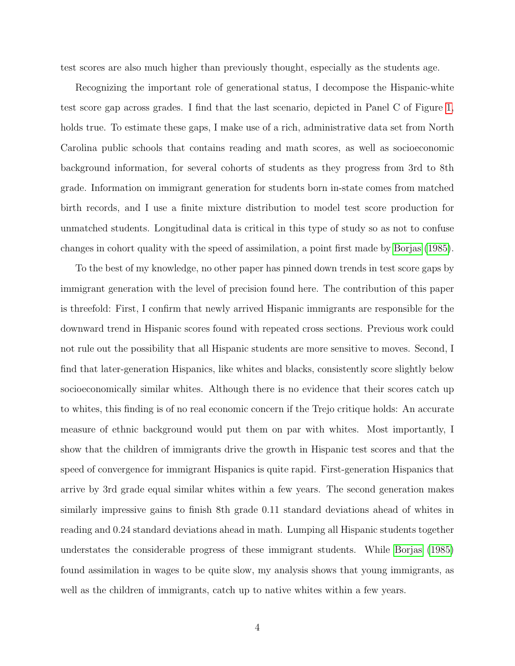test scores are also much higher than previously thought, especially as the students age.

Recognizing the important role of generational status, I decompose the Hispanic-white test score gap across grades. I find that the last scenario, depicted in Panel C of Figure [1,](#page-43-0) holds true. To estimate these gaps, I make use of a rich, administrative data set from North Carolina public schools that contains reading and math scores, as well as socioeconomic background information, for several cohorts of students as they progress from 3rd to 8th grade. Information on immigrant generation for students born in-state comes from matched birth records, and I use a finite mixture distribution to model test score production for unmatched students. Longitudinal data is critical in this type of study so as not to confuse changes in cohort quality with the speed of assimilation, a point first made by [Borjas](#page-30-2) [\(1985\)](#page-30-2).

To the best of my knowledge, no other paper has pinned down trends in test score gaps by immigrant generation with the level of precision found here. The contribution of this paper is threefold: First, I confirm that newly arrived Hispanic immigrants are responsible for the downward trend in Hispanic scores found with repeated cross sections. Previous work could not rule out the possibility that all Hispanic students are more sensitive to moves. Second, I find that later-generation Hispanics, like whites and blacks, consistently score slightly below socioeconomically similar whites. Although there is no evidence that their scores catch up to whites, this finding is of no real economic concern if the Trejo critique holds: An accurate measure of ethnic background would put them on par with whites. Most importantly, I show that the children of immigrants drive the growth in Hispanic test scores and that the speed of convergence for immigrant Hispanics is quite rapid. First-generation Hispanics that arrive by 3rd grade equal similar whites within a few years. The second generation makes similarly impressive gains to finish 8th grade 0.11 standard deviations ahead of whites in reading and 0.24 standard deviations ahead in math. Lumping all Hispanic students together understates the considerable progress of these immigrant students. While [Borjas](#page-30-2) [\(1985\)](#page-30-2) found assimilation in wages to be quite slow, my analysis shows that young immigrants, as well as the children of immigrants, catch up to native whites within a few years.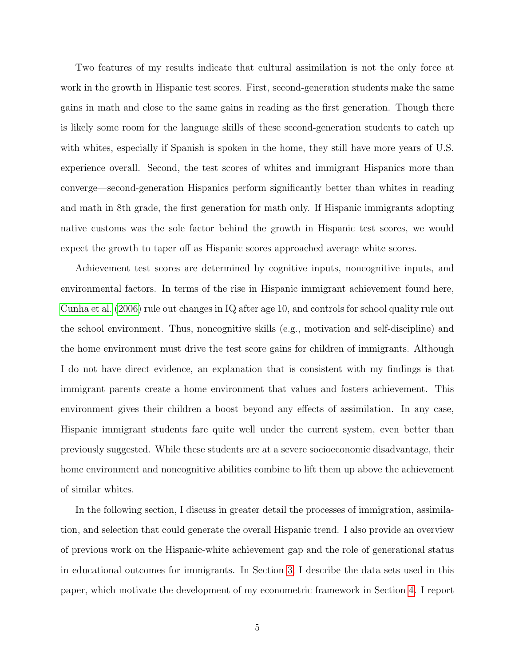Two features of my results indicate that cultural assimilation is not the only force at work in the growth in Hispanic test scores. First, second-generation students make the same gains in math and close to the same gains in reading as the first generation. Though there is likely some room for the language skills of these second-generation students to catch up with whites, especially if Spanish is spoken in the home, they still have more years of U.S. experience overall. Second, the test scores of whites and immigrant Hispanics more than converge—second-generation Hispanics perform significantly better than whites in reading and math in 8th grade, the first generation for math only. If Hispanic immigrants adopting native customs was the sole factor behind the growth in Hispanic test scores, we would expect the growth to taper off as Hispanic scores approached average white scores.

Achievement test scores are determined by cognitive inputs, noncognitive inputs, and environmental factors. In terms of the rise in Hispanic immigrant achievement found here, [Cunha et al.](#page-30-1) [\(2006\)](#page-30-1) rule out changes in IQ after age 10, and controls for school quality rule out the school environment. Thus, noncognitive skills (e.g., motivation and self-discipline) and the home environment must drive the test score gains for children of immigrants. Although I do not have direct evidence, an explanation that is consistent with my findings is that immigrant parents create a home environment that values and fosters achievement. This environment gives their children a boost beyond any effects of assimilation. In any case, Hispanic immigrant students fare quite well under the current system, even better than previously suggested. While these students are at a severe socioeconomic disadvantage, their home environment and noncognitive abilities combine to lift them up above the achievement of similar whites.

In the following section, I discuss in greater detail the processes of immigration, assimilation, and selection that could generate the overall Hispanic trend. I also provide an overview of previous work on the Hispanic-white achievement gap and the role of generational status in educational outcomes for immigrants. In Section [3,](#page-13-0) I describe the data sets used in this paper, which motivate the development of my econometric framework in Section [4.](#page-15-0) I report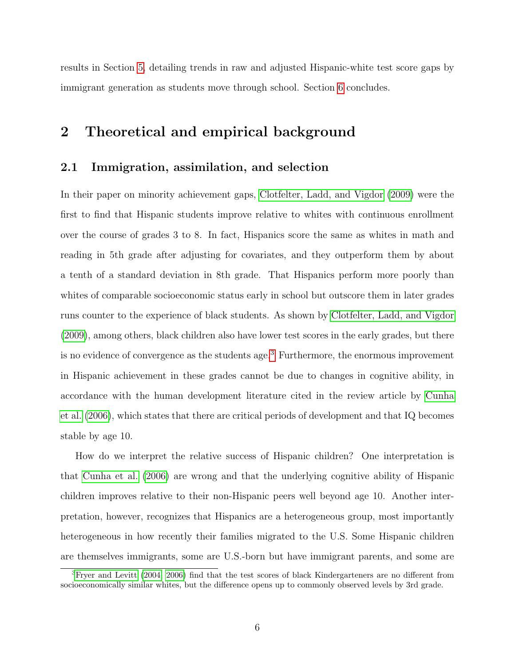results in Section [5,](#page-19-0) detailing trends in raw and adjusted Hispanic-white test score gaps by immigrant generation as students move through school. Section [6](#page-28-0) concludes.

## <span id="page-7-1"></span>2 Theoretical and empirical background

#### <span id="page-7-2"></span>2.1 Immigration, assimilation, and selection

In their paper on minority achievement gaps, [Clotfelter, Ladd, and Vigdor](#page-30-0) [\(2009\)](#page-30-0) were the first to find that Hispanic students improve relative to whites with continuous enrollment over the course of grades 3 to 8. In fact, Hispanics score the same as whites in math and reading in 5th grade after adjusting for covariates, and they outperform them by about a tenth of a standard deviation in 8th grade. That Hispanics perform more poorly than whites of comparable socioeconomic status early in school but outscore them in later grades runs counter to the experience of black students. As shown by [Clotfelter, Ladd, and Vigdor](#page-30-0) [\(2009\)](#page-30-0), among others, black children also have lower test scores in the early grades, but there is no evidence of convergence as the students age.<sup>[3](#page-7-0)</sup> Furthermore, the enormous improvement in Hispanic achievement in these grades cannot be due to changes in cognitive ability, in accordance with the human development literature cited in the review article by [Cunha](#page-30-1) [et al.](#page-30-1) [\(2006\)](#page-30-1), which states that there are critical periods of development and that IQ becomes stable by age 10.

How do we interpret the relative success of Hispanic children? One interpretation is that [Cunha et al.](#page-30-1) [\(2006\)](#page-30-1) are wrong and that the underlying cognitive ability of Hispanic children improves relative to their non-Hispanic peers well beyond age 10. Another interpretation, however, recognizes that Hispanics are a heterogeneous group, most importantly heterogeneous in how recently their families migrated to the U.S. Some Hispanic children are themselves immigrants, some are U.S.-born but have immigrant parents, and some are

<span id="page-7-0"></span> ${}^{3}$ [Fryer and Levitt](#page-30-3) [\(2004,](#page-30-3) [2006\)](#page-30-4) find that the test scores of black Kindergarteners are no different from socioeconomically similar whites, but the difference opens up to commonly observed levels by 3rd grade.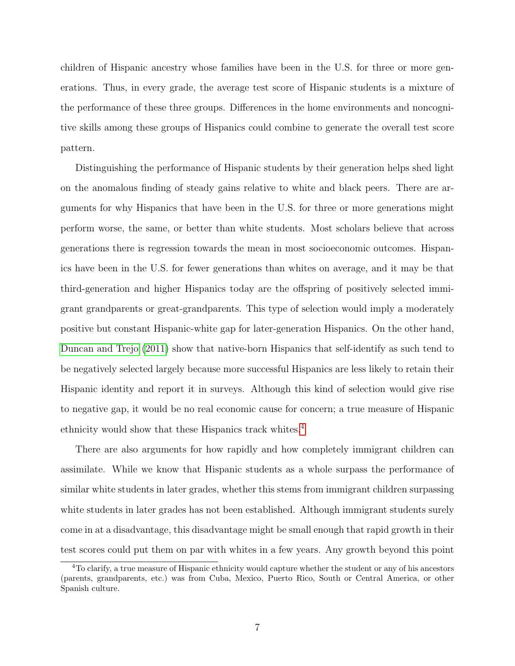children of Hispanic ancestry whose families have been in the U.S. for three or more generations. Thus, in every grade, the average test score of Hispanic students is a mixture of the performance of these three groups. Differences in the home environments and noncognitive skills among these groups of Hispanics could combine to generate the overall test score pattern.

Distinguishing the performance of Hispanic students by their generation helps shed light on the anomalous finding of steady gains relative to white and black peers. There are arguments for why Hispanics that have been in the U.S. for three or more generations might perform worse, the same, or better than white students. Most scholars believe that across generations there is regression towards the mean in most socioeconomic outcomes. Hispanics have been in the U.S. for fewer generations than whites on average, and it may be that third-generation and higher Hispanics today are the offspring of positively selected immigrant grandparents or great-grandparents. This type of selection would imply a moderately positive but constant Hispanic-white gap for later-generation Hispanics. On the other hand, [Duncan and Trejo](#page-30-5) [\(2011\)](#page-30-5) show that native-born Hispanics that self-identify as such tend to be negatively selected largely because more successful Hispanics are less likely to retain their Hispanic identity and report it in surveys. Although this kind of selection would give rise to negative gap, it would be no real economic cause for concern; a true measure of Hispanic ethnicity would show that these Hispanics track whites.[4](#page-8-0)

There are also arguments for how rapidly and how completely immigrant children can assimilate. While we know that Hispanic students as a whole surpass the performance of similar white students in later grades, whether this stems from immigrant children surpassing white students in later grades has not been established. Although immigrant students surely come in at a disadvantage, this disadvantage might be small enough that rapid growth in their test scores could put them on par with whites in a few years. Any growth beyond this point

<span id="page-8-0"></span><sup>4</sup>To clarify, a true measure of Hispanic ethnicity would capture whether the student or any of his ancestors (parents, grandparents, etc.) was from Cuba, Mexico, Puerto Rico, South or Central America, or other Spanish culture.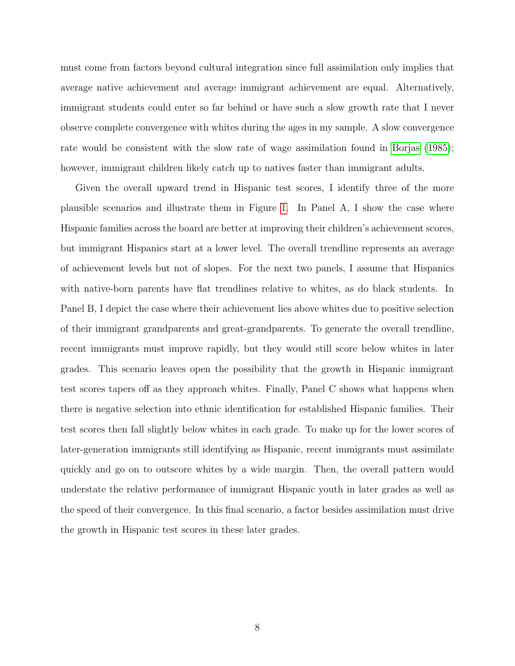must come from factors beyond cultural integration since full assimilation only implies that average native achievement and average immigrant achievement are equal. Alternatively, immigrant students could enter so far behind or have such a slow growth rate that I never observe complete convergence with whites during the ages in my sample. A slow convergence rate would be consistent with the slow rate of wage assimilation found in [Borjas](#page-30-2) [\(1985\)](#page-30-2); however, immigrant children likely catch up to natives faster than immigrant adults.

Given the overall upward trend in Hispanic test scores, I identify three of the more plausible scenarios and illustrate them in Figure [1.](#page-43-0) In Panel A, I show the case where Hispanic families across the board are better at improving their children's achievement scores, but immigrant Hispanics start at a lower level. The overall trendline represents an average of achievement levels but not of slopes. For the next two panels, I assume that Hispanics with native-born parents have flat trendlines relative to whites, as do black students. In Panel B, I depict the case where their achievement lies above whites due to positive selection of their immigrant grandparents and great-grandparents. To generate the overall trendline, recent immigrants must improve rapidly, but they would still score below whites in later grades. This scenario leaves open the possibility that the growth in Hispanic immigrant test scores tapers off as they approach whites. Finally, Panel C shows what happens when there is negative selection into ethnic identification for established Hispanic families. Their test scores then fall slightly below whites in each grade. To make up for the lower scores of later-generation immigrants still identifying as Hispanic, recent immigrants must assimilate quickly and go on to outscore whites by a wide margin. Then, the overall pattern would understate the relative performance of immigrant Hispanic youth in later grades as well as the speed of their convergence. In this final scenario, a factor besides assimilation must drive the growth in Hispanic test scores in these later grades.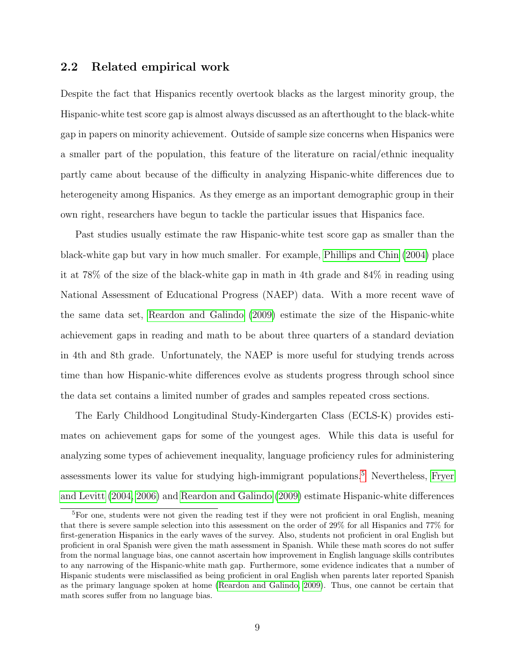#### 2.2 Related empirical work

Despite the fact that Hispanics recently overtook blacks as the largest minority group, the Hispanic-white test score gap is almost always discussed as an afterthought to the black-white gap in papers on minority achievement. Outside of sample size concerns when Hispanics were a smaller part of the population, this feature of the literature on racial/ethnic inequality partly came about because of the difficulty in analyzing Hispanic-white differences due to heterogeneity among Hispanics. As they emerge as an important demographic group in their own right, researchers have begun to tackle the particular issues that Hispanics face.

Past studies usually estimate the raw Hispanic-white test score gap as smaller than the black-white gap but vary in how much smaller. For example, [Phillips and Chin](#page-31-1) [\(2004\)](#page-31-1) place it at 78% of the size of the black-white gap in math in 4th grade and 84% in reading using National Assessment of Educational Progress (NAEP) data. With a more recent wave of the same data set, [Reardon and Galindo](#page-31-2) [\(2009\)](#page-31-2) estimate the size of the Hispanic-white achievement gaps in reading and math to be about three quarters of a standard deviation in 4th and 8th grade. Unfortunately, the NAEP is more useful for studying trends across time than how Hispanic-white differences evolve as students progress through school since the data set contains a limited number of grades and samples repeated cross sections.

The Early Childhood Longitudinal Study-Kindergarten Class (ECLS-K) provides estimates on achievement gaps for some of the youngest ages. While this data is useful for analyzing some types of achievement inequality, language proficiency rules for administering assessments lower its value for studying high-immigrant populations.<sup>[5](#page-10-0)</sup> Nevertheless, [Fryer](#page-30-3) [and Levitt](#page-30-3) [\(2004,](#page-30-3) [2006\)](#page-30-4) and [Reardon and Galindo](#page-31-2) [\(2009\)](#page-31-2) estimate Hispanic-white differences

<span id="page-10-0"></span><sup>5</sup>For one, students were not given the reading test if they were not proficient in oral English, meaning that there is severe sample selection into this assessment on the order of 29% for all Hispanics and 77% for first-generation Hispanics in the early waves of the survey. Also, students not proficient in oral English but proficient in oral Spanish were given the math assessment in Spanish. While these math scores do not suffer from the normal language bias, one cannot ascertain how improvement in English language skills contributes to any narrowing of the Hispanic-white math gap. Furthermore, some evidence indicates that a number of Hispanic students were misclassified as being proficient in oral English when parents later reported Spanish as the primary language spoken at home [\(Reardon and Galindo, 2009\)](#page-31-2). Thus, one cannot be certain that math scores suffer from no language bias.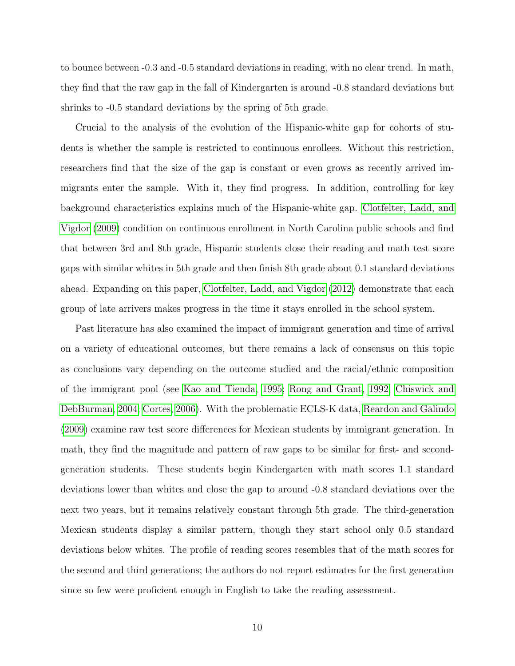to bounce between -0.3 and -0.5 standard deviations in reading, with no clear trend. In math, they find that the raw gap in the fall of Kindergarten is around -0.8 standard deviations but shrinks to -0.5 standard deviations by the spring of 5th grade.

Crucial to the analysis of the evolution of the Hispanic-white gap for cohorts of students is whether the sample is restricted to continuous enrollees. Without this restriction, researchers find that the size of the gap is constant or even grows as recently arrived immigrants enter the sample. With it, they find progress. In addition, controlling for key background characteristics explains much of the Hispanic-white gap. [Clotfelter, Ladd, and](#page-30-0) [Vigdor](#page-30-0) [\(2009\)](#page-30-0) condition on continuous enrollment in North Carolina public schools and find that between 3rd and 8th grade, Hispanic students close their reading and math test score gaps with similar whites in 5th grade and then finish 8th grade about 0.1 standard deviations ahead. Expanding on this paper, [Clotfelter, Ladd, and Vigdor](#page-30-6) [\(2012\)](#page-30-6) demonstrate that each group of late arrivers makes progress in the time it stays enrolled in the school system.

Past literature has also examined the impact of immigrant generation and time of arrival on a variety of educational outcomes, but there remains a lack of consensus on this topic as conclusions vary depending on the outcome studied and the racial/ethnic composition of the immigrant pool (see [Kao and Tienda, 1995;](#page-31-3) [Rong and Grant, 1992;](#page-31-4) [Chiswick and](#page-30-7) [DebBurman, 2004;](#page-30-7) [Cortes, 2006\)](#page-30-8). With the problematic ECLS-K data, [Reardon and Galindo](#page-31-2) [\(2009\)](#page-31-2) examine raw test score differences for Mexican students by immigrant generation. In math, they find the magnitude and pattern of raw gaps to be similar for first- and secondgeneration students. These students begin Kindergarten with math scores 1.1 standard deviations lower than whites and close the gap to around -0.8 standard deviations over the next two years, but it remains relatively constant through 5th grade. The third-generation Mexican students display a similar pattern, though they start school only 0.5 standard deviations below whites. The profile of reading scores resembles that of the math scores for the second and third generations; the authors do not report estimates for the first generation since so few were proficient enough in English to take the reading assessment.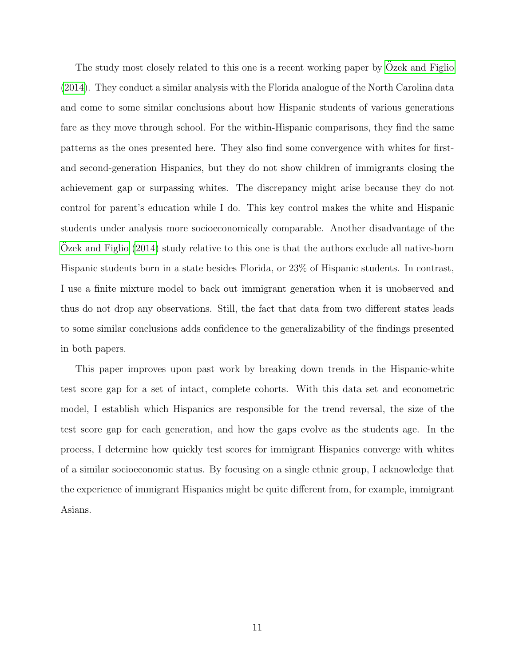The study most closely related to this one is a recent working paper by [Ozek and Figlio](#page-31-5) [\(2014\)](#page-31-5). They conduct a similar analysis with the Florida analogue of the North Carolina data and come to some similar conclusions about how Hispanic students of various generations fare as they move through school. For the within-Hispanic comparisons, they find the same patterns as the ones presented here. They also find some convergence with whites for firstand second-generation Hispanics, but they do not show children of immigrants closing the achievement gap or surpassing whites. The discrepancy might arise because they do not control for parent's education while I do. This key control makes the white and Hispanic students under analysis more socioeconomically comparable. Another disadvantage of the [Ozek and Figlio](#page-31-5)  $(2014)$  study relative to this one is that the authors exclude all native-born Hispanic students born in a state besides Florida, or 23% of Hispanic students. In contrast, I use a finite mixture model to back out immigrant generation when it is unobserved and thus do not drop any observations. Still, the fact that data from two different states leads to some similar conclusions adds confidence to the generalizability of the findings presented in both papers.

This paper improves upon past work by breaking down trends in the Hispanic-white test score gap for a set of intact, complete cohorts. With this data set and econometric model, I establish which Hispanics are responsible for the trend reversal, the size of the test score gap for each generation, and how the gaps evolve as the students age. In the process, I determine how quickly test scores for immigrant Hispanics converge with whites of a similar socioeconomic status. By focusing on a single ethnic group, I acknowledge that the experience of immigrant Hispanics might be quite different from, for example, immigrant Asians.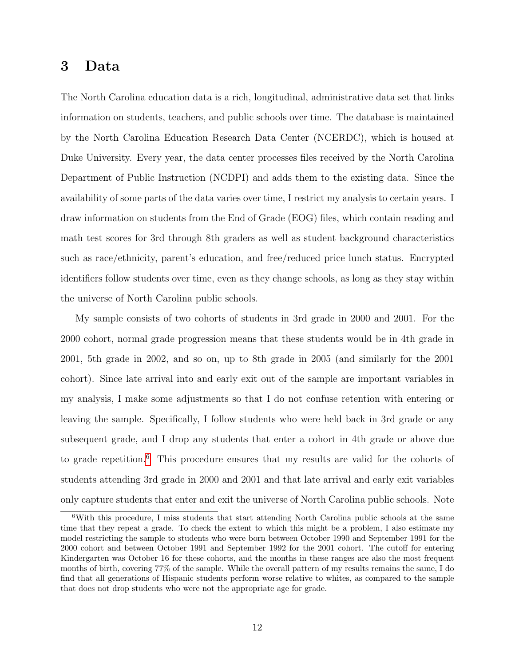## <span id="page-13-0"></span>3 Data

The North Carolina education data is a rich, longitudinal, administrative data set that links information on students, teachers, and public schools over time. The database is maintained by the North Carolina Education Research Data Center (NCERDC), which is housed at Duke University. Every year, the data center processes files received by the North Carolina Department of Public Instruction (NCDPI) and adds them to the existing data. Since the availability of some parts of the data varies over time, I restrict my analysis to certain years. I draw information on students from the End of Grade (EOG) files, which contain reading and math test scores for 3rd through 8th graders as well as student background characteristics such as race/ethnicity, parent's education, and free/reduced price lunch status. Encrypted identifiers follow students over time, even as they change schools, as long as they stay within the universe of North Carolina public schools.

My sample consists of two cohorts of students in 3rd grade in 2000 and 2001. For the 2000 cohort, normal grade progression means that these students would be in 4th grade in 2001, 5th grade in 2002, and so on, up to 8th grade in 2005 (and similarly for the 2001 cohort). Since late arrival into and early exit out of the sample are important variables in my analysis, I make some adjustments so that I do not confuse retention with entering or leaving the sample. Specifically, I follow students who were held back in 3rd grade or any subsequent grade, and I drop any students that enter a cohort in 4th grade or above due to grade repetition.<sup>[6](#page-13-1)</sup> This procedure ensures that my results are valid for the cohorts of students attending 3rd grade in 2000 and 2001 and that late arrival and early exit variables only capture students that enter and exit the universe of North Carolina public schools. Note

<span id="page-13-1"></span><sup>6</sup>With this procedure, I miss students that start attending North Carolina public schools at the same time that they repeat a grade. To check the extent to which this might be a problem, I also estimate my model restricting the sample to students who were born between October 1990 and September 1991 for the 2000 cohort and between October 1991 and September 1992 for the 2001 cohort. The cutoff for entering Kindergarten was October 16 for these cohorts, and the months in these ranges are also the most frequent months of birth, covering 77% of the sample. While the overall pattern of my results remains the same, I do find that all generations of Hispanic students perform worse relative to whites, as compared to the sample that does not drop students who were not the appropriate age for grade.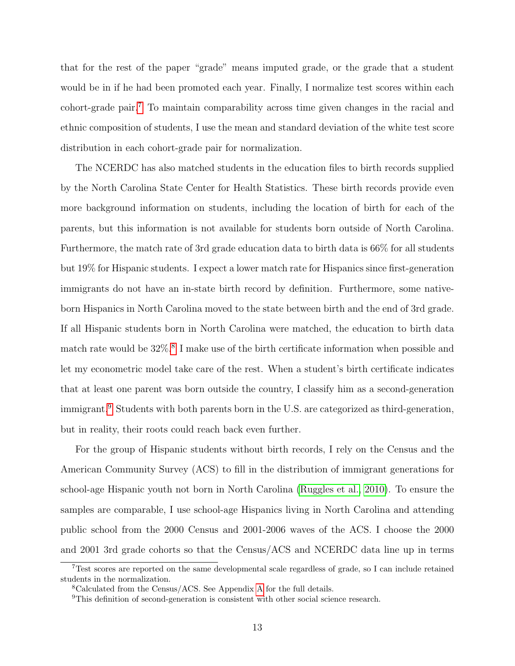that for the rest of the paper "grade" means imputed grade, or the grade that a student would be in if he had been promoted each year. Finally, I normalize test scores within each cohort-grade pair.[7](#page-14-0) To maintain comparability across time given changes in the racial and ethnic composition of students, I use the mean and standard deviation of the white test score distribution in each cohort-grade pair for normalization.

The NCERDC has also matched students in the education files to birth records supplied by the North Carolina State Center for Health Statistics. These birth records provide even more background information on students, including the location of birth for each of the parents, but this information is not available for students born outside of North Carolina. Furthermore, the match rate of 3rd grade education data to birth data is 66% for all students but 19% for Hispanic students. I expect a lower match rate for Hispanics since first-generation immigrants do not have an in-state birth record by definition. Furthermore, some nativeborn Hispanics in North Carolina moved to the state between birth and the end of 3rd grade. If all Hispanic students born in North Carolina were matched, the education to birth data match rate would be  $32\%$ .<sup>[8](#page-14-1)</sup> I make use of the birth certificate information when possible and let my econometric model take care of the rest. When a student's birth certificate indicates that at least one parent was born outside the country, I classify him as a second-generation immigrant.<sup>[9](#page-14-2)</sup> Students with both parents born in the U.S. are categorized as third-generation, but in reality, their roots could reach back even further.

For the group of Hispanic students without birth records, I rely on the Census and the American Community Survey (ACS) to fill in the distribution of immigrant generations for school-age Hispanic youth not born in North Carolina [\(Ruggles et al., 2010\)](#page-31-0). To ensure the samples are comparable, I use school-age Hispanics living in North Carolina and attending public school from the 2000 Census and 2001-2006 waves of the ACS. I choose the 2000 and 2001 3rd grade cohorts so that the Census/ACS and NCERDC data line up in terms

<span id="page-14-0"></span><sup>7</sup>Test scores are reported on the same developmental scale regardless of grade, so I can include retained students in the normalization.

<span id="page-14-1"></span><sup>8</sup>Calculated from the Census/ACS. See Appendix [A](#page-3-2) for the full details.

<span id="page-14-2"></span><sup>&</sup>lt;sup>9</sup>This definition of second-generation is consistent with other social science research.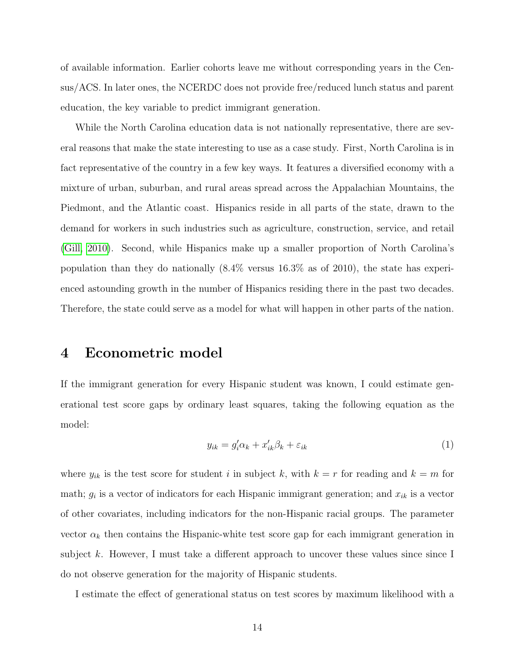of available information. Earlier cohorts leave me without corresponding years in the Census/ACS. In later ones, the NCERDC does not provide free/reduced lunch status and parent education, the key variable to predict immigrant generation.

While the North Carolina education data is not nationally representative, there are several reasons that make the state interesting to use as a case study. First, North Carolina is in fact representative of the country in a few key ways. It features a diversified economy with a mixture of urban, suburban, and rural areas spread across the Appalachian Mountains, the Piedmont, and the Atlantic coast. Hispanics reside in all parts of the state, drawn to the demand for workers in such industries such as agriculture, construction, service, and retail [\(Gill, 2010\)](#page-30-9). Second, while Hispanics make up a smaller proportion of North Carolina's population than they do nationally (8.4% versus 16.3% as of 2010), the state has experienced astounding growth in the number of Hispanics residing there in the past two decades. Therefore, the state could serve as a model for what will happen in other parts of the nation.

### <span id="page-15-0"></span>4 Econometric model

If the immigrant generation for every Hispanic student was known, I could estimate generational test score gaps by ordinary least squares, taking the following equation as the model:

$$
y_{ik} = g_i' \alpha_k + x_{ik}' \beta_k + \varepsilon_{ik} \tag{1}
$$

where  $y_{ik}$  is the test score for student i in subject k, with  $k = r$  for reading and  $k = m$  for math;  $g_i$  is a vector of indicators for each Hispanic immigrant generation; and  $x_{ik}$  is a vector of other covariates, including indicators for the non-Hispanic racial groups. The parameter vector  $\alpha_k$  then contains the Hispanic-white test score gap for each immigrant generation in subject k. However, I must take a different approach to uncover these values since since I do not observe generation for the majority of Hispanic students.

I estimate the effect of generational status on test scores by maximum likelihood with a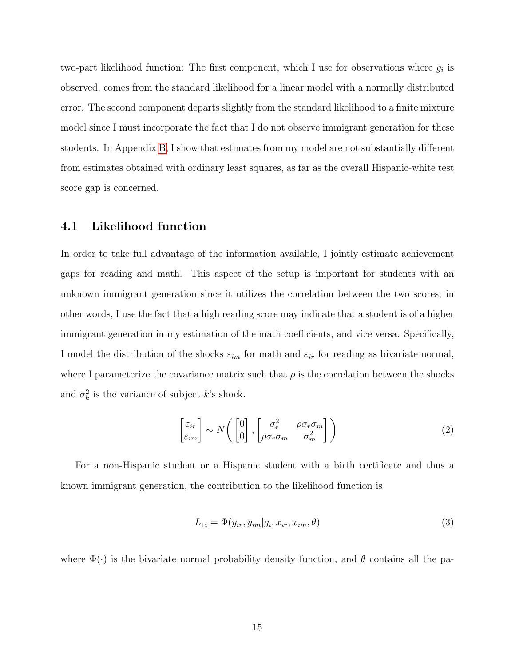two-part likelihood function: The first component, which I use for observations where  $g_i$  is observed, comes from the standard likelihood for a linear model with a normally distributed error. The second component departs slightly from the standard likelihood to a finite mixture model since I must incorporate the fact that I do not observe immigrant generation for these students. In Appendix [B,](#page-7-1) I show that estimates from my model are not substantially different from estimates obtained with ordinary least squares, as far as the overall Hispanic-white test score gap is concerned.

#### 4.1 Likelihood function

In order to take full advantage of the information available, I jointly estimate achievement gaps for reading and math. This aspect of the setup is important for students with an unknown immigrant generation since it utilizes the correlation between the two scores; in other words, I use the fact that a high reading score may indicate that a student is of a higher immigrant generation in my estimation of the math coefficients, and vice versa. Specifically, I model the distribution of the shocks  $\varepsilon_{im}$  for math and  $\varepsilon_{ir}$  for reading as bivariate normal, where I parameterize the covariance matrix such that  $\rho$  is the correlation between the shocks and  $\sigma_k^2$  is the variance of subject k's shock.

$$
\begin{bmatrix} \varepsilon_{ir} \\ \varepsilon_{im} \end{bmatrix} \sim N \begin{pmatrix} 0 \\ 0 \end{pmatrix}, \begin{bmatrix} \sigma_r^2 & \rho \sigma_r \sigma_m \\ \rho \sigma_r \sigma_m & \sigma_m^2 \end{bmatrix} \tag{2}
$$

For a non-Hispanic student or a Hispanic student with a birth certificate and thus a known immigrant generation, the contribution to the likelihood function is

$$
L_{1i} = \Phi(y_{ir}, y_{im}|g_i, x_{ir}, x_{im}, \theta)
$$
\n
$$
(3)
$$

where  $\Phi(\cdot)$  is the bivariate normal probability density function, and  $\theta$  contains all the pa-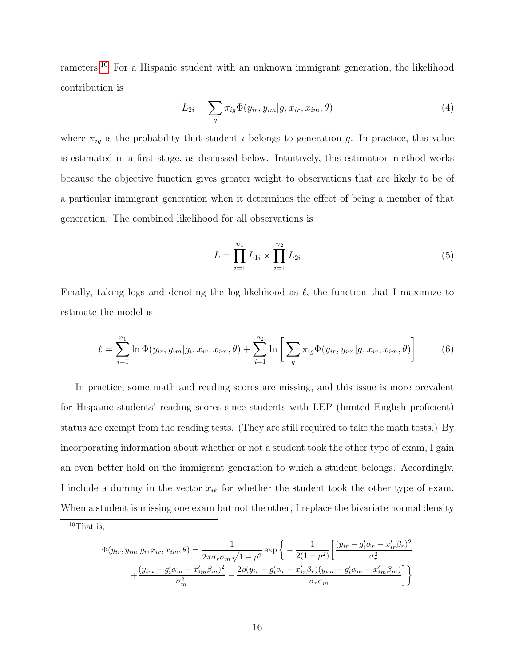rameters.<sup>[10](#page-17-0)</sup> For a Hispanic student with an unknown immigrant generation, the likelihood contribution is

$$
L_{2i} = \sum_{g} \pi_{ig} \Phi(y_{ir}, y_{im} | g, x_{ir}, x_{im}, \theta)
$$
\n
$$
\tag{4}
$$

where  $\pi_{iq}$  is the probability that student *i* belongs to generation g. In practice, this value is estimated in a first stage, as discussed below. Intuitively, this estimation method works because the objective function gives greater weight to observations that are likely to be of a particular immigrant generation when it determines the effect of being a member of that generation. The combined likelihood for all observations is

$$
L = \prod_{i=1}^{n_1} L_{1i} \times \prod_{i=1}^{n_2} L_{2i}
$$
 (5)

Finally, taking logs and denoting the log-likelihood as  $\ell$ , the function that I maximize to estimate the model is

$$
\ell = \sum_{i=1}^{n_1} \ln \Phi(y_{ir}, y_{im}|g_i, x_{ir}, x_{im}, \theta) + \sum_{i=1}^{n_2} \ln \left[ \sum_g \pi_{ig} \Phi(y_{ir}, y_{im}|g, x_{ir}, x_{im}, \theta) \right]
$$
(6)

In practice, some math and reading scores are missing, and this issue is more prevalent for Hispanic students' reading scores since students with LEP (limited English proficient) status are exempt from the reading tests. (They are still required to take the math tests.) By incorporating information about whether or not a student took the other type of exam, I gain an even better hold on the immigrant generation to which a student belongs. Accordingly, I include a dummy in the vector  $x_{ik}$  for whether the student took the other type of exam. When a student is missing one exam but not the other, I replace the bivariate normal density

$$
\Phi(y_{ir}, y_{im}|g_i, x_{ir}, x_{im}, \theta) = \frac{1}{2\pi\sigma_r\sigma_m\sqrt{1-\rho^2}} \exp\left\{-\frac{1}{2(1-\rho^2)} \left[\frac{(y_{ir} - g_i'\alpha_r - x_{ir}'\beta_r)^2}{\sigma_r^2} + \frac{(y_{im} - g_i'\alpha_m - x_{im}'\beta_m)^2}{\sigma_m^2} - \frac{2\rho(y_{ir} - g_i'\alpha_r - x_{ir}'\beta_r)(y_{im} - g_i'\alpha_m - x_{im}'\beta_m)}{\sigma_r\sigma_m}\right]\right\}
$$

<span id="page-17-0"></span> $10$ That is,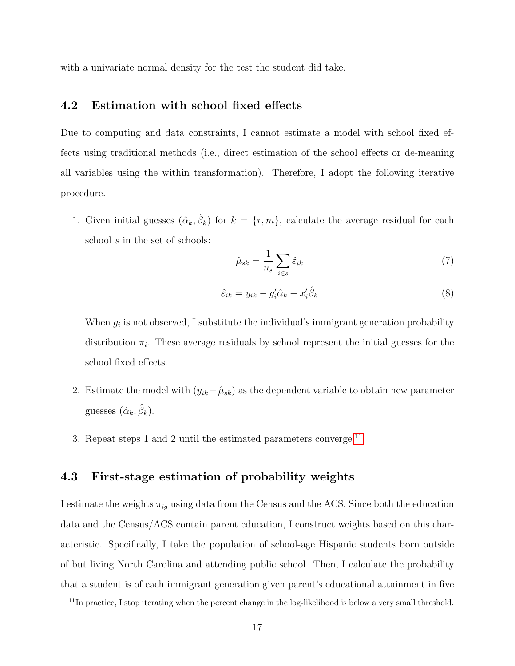with a univariate normal density for the test the student did take.

#### 4.2 Estimation with school fixed effects

Due to computing and data constraints, I cannot estimate a model with school fixed effects using traditional methods (i.e., direct estimation of the school effects or de-meaning all variables using the within transformation). Therefore, I adopt the following iterative procedure.

1. Given initial guesses  $(\hat{\alpha}_k, \hat{\beta}_k)$  for  $k = \{r, m\}$ , calculate the average residual for each school s in the set of schools:

$$
\hat{\mu}_{sk} = \frac{1}{n_s} \sum_{i \in s} \hat{\varepsilon}_{ik} \tag{7}
$$

$$
\hat{\varepsilon}_{ik} = y_{ik} - g'_i \hat{\alpha}_k - x'_i \hat{\beta}_k \tag{8}
$$

When  $g_i$  is not observed, I substitute the individual's immigrant generation probability distribution  $\pi_i$ . These average residuals by school represent the initial guesses for the school fixed effects.

- 2. Estimate the model with  $(y_{ik} \hat{\mu}_{sk})$  as the dependent variable to obtain new parameter guesses  $(\hat{\alpha}_k, \hat{\beta}_k)$ .
- 3. Repeat steps 1 and 2 until the estimated parameters converge.<sup>[11](#page-18-0)</sup>

#### 4.3 First-stage estimation of probability weights

I estimate the weights  $\pi_{ig}$  using data from the Census and the ACS. Since both the education data and the Census/ACS contain parent education, I construct weights based on this characteristic. Specifically, I take the population of school-age Hispanic students born outside of but living North Carolina and attending public school. Then, I calculate the probability that a student is of each immigrant generation given parent's educational attainment in five

<span id="page-18-0"></span> $\frac{11}{11}$ In practice, I stop iterating when the percent change in the log-likelihood is below a very small threshold.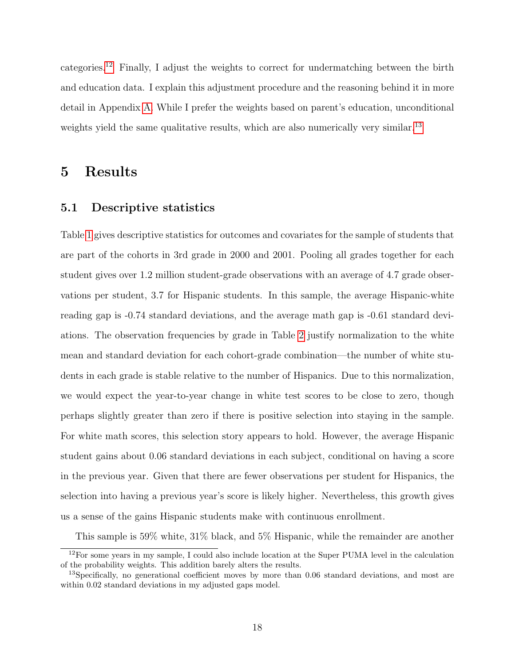categories.[12](#page-19-1) Finally, I adjust the weights to correct for undermatching between the birth and education data. I explain this adjustment procedure and the reasoning behind it in more detail in Appendix [A.](#page-3-2) While I prefer the weights based on parent's education, unconditional weights yield the same qualitative results, which are also numerically very similar.<sup>[13](#page-19-2)</sup>

### <span id="page-19-0"></span>5 Results

#### 5.1 Descriptive statistics

Table [1](#page-32-0) gives descriptive statistics for outcomes and covariates for the sample of students that are part of the cohorts in 3rd grade in 2000 and 2001. Pooling all grades together for each student gives over 1.2 million student-grade observations with an average of 4.7 grade observations per student, 3.7 for Hispanic students. In this sample, the average Hispanic-white reading gap is -0.74 standard deviations, and the average math gap is -0.61 standard deviations. The observation frequencies by grade in Table [2](#page-33-0) justify normalization to the white mean and standard deviation for each cohort-grade combination—the number of white students in each grade is stable relative to the number of Hispanics. Due to this normalization, we would expect the year-to-year change in white test scores to be close to zero, though perhaps slightly greater than zero if there is positive selection into staying in the sample. For white math scores, this selection story appears to hold. However, the average Hispanic student gains about 0.06 standard deviations in each subject, conditional on having a score in the previous year. Given that there are fewer observations per student for Hispanics, the selection into having a previous year's score is likely higher. Nevertheless, this growth gives us a sense of the gains Hispanic students make with continuous enrollment.

<span id="page-19-1"></span>This sample is 59% white, 31% black, and 5% Hispanic, while the remainder are another

<sup>&</sup>lt;sup>12</sup>For some years in my sample, I could also include location at the Super PUMA level in the calculation of the probability weights. This addition barely alters the results.

<span id="page-19-2"></span><sup>&</sup>lt;sup>13</sup>Specifically, no generational coefficient moves by more than 0.06 standard deviations, and most are within 0.02 standard deviations in my adjusted gaps model.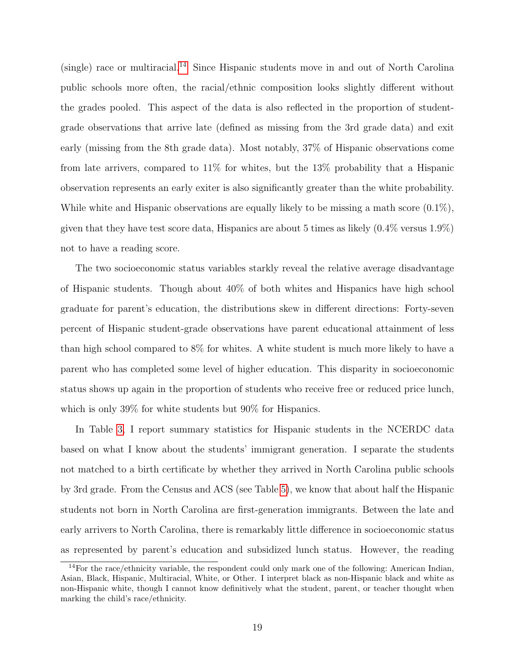$(single)$  race or multiracial.<sup>[14](#page-20-0)</sup> Since Hispanic students move in and out of North Carolina public schools more often, the racial/ethnic composition looks slightly different without the grades pooled. This aspect of the data is also reflected in the proportion of studentgrade observations that arrive late (defined as missing from the 3rd grade data) and exit early (missing from the 8th grade data). Most notably, 37% of Hispanic observations come from late arrivers, compared to 11% for whites, but the 13% probability that a Hispanic observation represents an early exiter is also significantly greater than the white probability. While white and Hispanic observations are equally likely to be missing a math score  $(0.1\%),$ given that they have test score data, Hispanics are about 5 times as likely  $(0.4\%$  versus 1.9%) not to have a reading score.

The two socioeconomic status variables starkly reveal the relative average disadvantage of Hispanic students. Though about 40% of both whites and Hispanics have high school graduate for parent's education, the distributions skew in different directions: Forty-seven percent of Hispanic student-grade observations have parent educational attainment of less than high school compared to 8% for whites. A white student is much more likely to have a parent who has completed some level of higher education. This disparity in socioeconomic status shows up again in the proportion of students who receive free or reduced price lunch, which is only 39% for white students but 90% for Hispanics.

In Table [3,](#page-34-0) I report summary statistics for Hispanic students in the NCERDC data based on what I know about the students' immigrant generation. I separate the students not matched to a birth certificate by whether they arrived in North Carolina public schools by 3rd grade. From the Census and ACS (see Table [5\)](#page-36-0), we know that about half the Hispanic students not born in North Carolina are first-generation immigrants. Between the late and early arrivers to North Carolina, there is remarkably little difference in socioeconomic status as represented by parent's education and subsidized lunch status. However, the reading

<span id="page-20-0"></span><sup>14</sup>For the race/ethnicity variable, the respondent could only mark one of the following: American Indian, Asian, Black, Hispanic, Multiracial, White, or Other. I interpret black as non-Hispanic black and white as non-Hispanic white, though I cannot know definitively what the student, parent, or teacher thought when marking the child's race/ethnicity.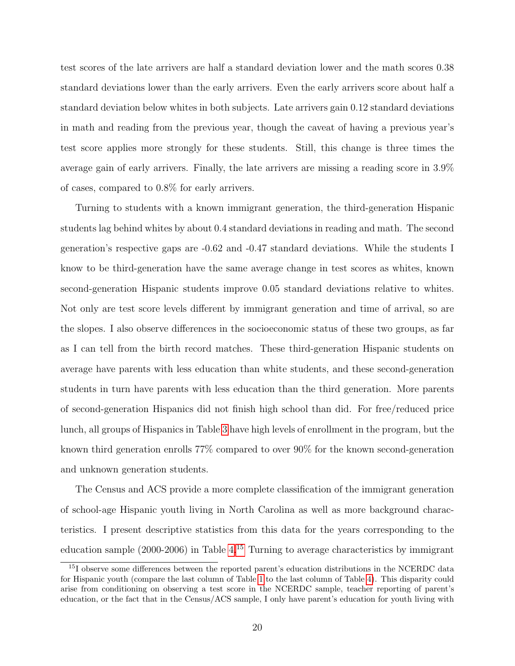test scores of the late arrivers are half a standard deviation lower and the math scores 0.38 standard deviations lower than the early arrivers. Even the early arrivers score about half a standard deviation below whites in both subjects. Late arrivers gain 0.12 standard deviations in math and reading from the previous year, though the caveat of having a previous year's test score applies more strongly for these students. Still, this change is three times the average gain of early arrivers. Finally, the late arrivers are missing a reading score in 3.9% of cases, compared to 0.8% for early arrivers.

Turning to students with a known immigrant generation, the third-generation Hispanic students lag behind whites by about 0.4 standard deviations in reading and math. The second generation's respective gaps are -0.62 and -0.47 standard deviations. While the students I know to be third-generation have the same average change in test scores as whites, known second-generation Hispanic students improve 0.05 standard deviations relative to whites. Not only are test score levels different by immigrant generation and time of arrival, so are the slopes. I also observe differences in the socioeconomic status of these two groups, as far as I can tell from the birth record matches. These third-generation Hispanic students on average have parents with less education than white students, and these second-generation students in turn have parents with less education than the third generation. More parents of second-generation Hispanics did not finish high school than did. For free/reduced price lunch, all groups of Hispanics in Table [3](#page-34-0) have high levels of enrollment in the program, but the known third generation enrolls 77% compared to over 90% for the known second-generation and unknown generation students.

The Census and ACS provide a more complete classification of the immigrant generation of school-age Hispanic youth living in North Carolina as well as more background characteristics. I present descriptive statistics from this data for the years corresponding to the education sample  $(2000-2006)$  in Table [4.](#page-35-0)<sup>[15](#page-21-0)</sup> Turning to average characteristics by immigrant

<span id="page-21-0"></span><sup>&</sup>lt;sup>15</sup>I observe some differences between the reported parent's education distributions in the NCERDC data for Hispanic youth (compare the last column of Table [1](#page-32-0) to the last column of Table [4\)](#page-35-0). This disparity could arise from conditioning on observing a test score in the NCERDC sample, teacher reporting of parent's education, or the fact that in the Census/ACS sample, I only have parent's education for youth living with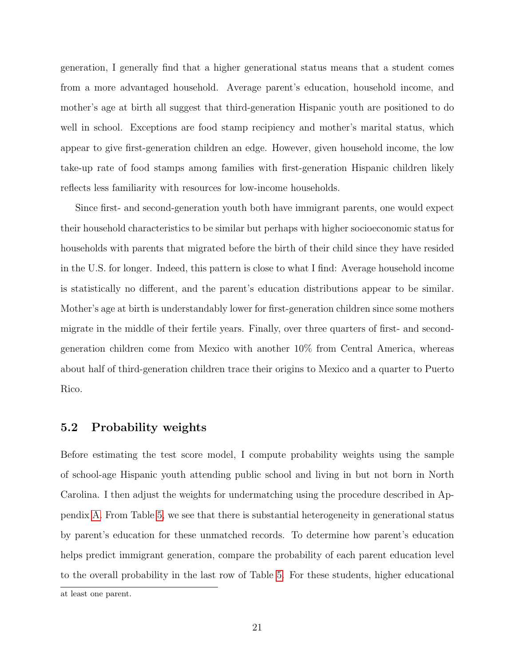generation, I generally find that a higher generational status means that a student comes from a more advantaged household. Average parent's education, household income, and mother's age at birth all suggest that third-generation Hispanic youth are positioned to do well in school. Exceptions are food stamp recipiency and mother's marital status, which appear to give first-generation children an edge. However, given household income, the low take-up rate of food stamps among families with first-generation Hispanic children likely reflects less familiarity with resources for low-income households.

Since first- and second-generation youth both have immigrant parents, one would expect their household characteristics to be similar but perhaps with higher socioeconomic status for households with parents that migrated before the birth of their child since they have resided in the U.S. for longer. Indeed, this pattern is close to what I find: Average household income is statistically no different, and the parent's education distributions appear to be similar. Mother's age at birth is understandably lower for first-generation children since some mothers migrate in the middle of their fertile years. Finally, over three quarters of first- and secondgeneration children come from Mexico with another 10% from Central America, whereas about half of third-generation children trace their origins to Mexico and a quarter to Puerto Rico.

#### 5.2 Probability weights

Before estimating the test score model, I compute probability weights using the sample of school-age Hispanic youth attending public school and living in but not born in North Carolina. I then adjust the weights for undermatching using the procedure described in Appendix [A.](#page-3-2) From Table [5,](#page-36-0) we see that there is substantial heterogeneity in generational status by parent's education for these unmatched records. To determine how parent's education helps predict immigrant generation, compare the probability of each parent education level to the overall probability in the last row of Table [5.](#page-36-0) For these students, higher educational

at least one parent.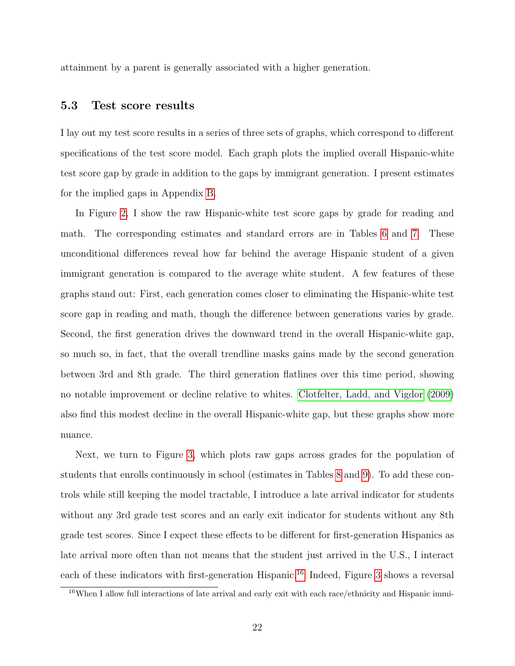attainment by a parent is generally associated with a higher generation.

#### 5.3 Test score results

I lay out my test score results in a series of three sets of graphs, which correspond to different specifications of the test score model. Each graph plots the implied overall Hispanic-white test score gap by grade in addition to the gaps by immigrant generation. I present estimates for the implied gaps in Appendix [B.](#page-7-1)

In Figure [2,](#page-45-0) I show the raw Hispanic-white test score gaps by grade for reading and math. The corresponding estimates and standard errors are in Tables [6](#page-37-0) and [7.](#page-38-0) These unconditional differences reveal how far behind the average Hispanic student of a given immigrant generation is compared to the average white student. A few features of these graphs stand out: First, each generation comes closer to eliminating the Hispanic-white test score gap in reading and math, though the difference between generations varies by grade. Second, the first generation drives the downward trend in the overall Hispanic-white gap, so much so, in fact, that the overall trendline masks gains made by the second generation between 3rd and 8th grade. The third generation flatlines over this time period, showing no notable improvement or decline relative to whites. [Clotfelter, Ladd, and Vigdor](#page-30-0) [\(2009\)](#page-30-0) also find this modest decline in the overall Hispanic-white gap, but these graphs show more nuance.

Next, we turn to Figure [3,](#page-46-0) which plots raw gaps across grades for the population of students that enrolls continuously in school (estimates in Tables [8](#page-39-0) and [9\)](#page-40-0). To add these controls while still keeping the model tractable, I introduce a late arrival indicator for students without any 3rd grade test scores and an early exit indicator for students without any 8th grade test scores. Since I expect these effects to be different for first-generation Hispanics as late arrival more often than not means that the student just arrived in the U.S., I interact each of these indicators with first-generation Hispanic.<sup>[16](#page-23-0)</sup> Indeed, Figure [3](#page-46-0) shows a reversal

<span id="page-23-0"></span><sup>&</sup>lt;sup>16</sup>When I allow full interactions of late arrival and early exit with each race/ethnicity and Hispanic immi-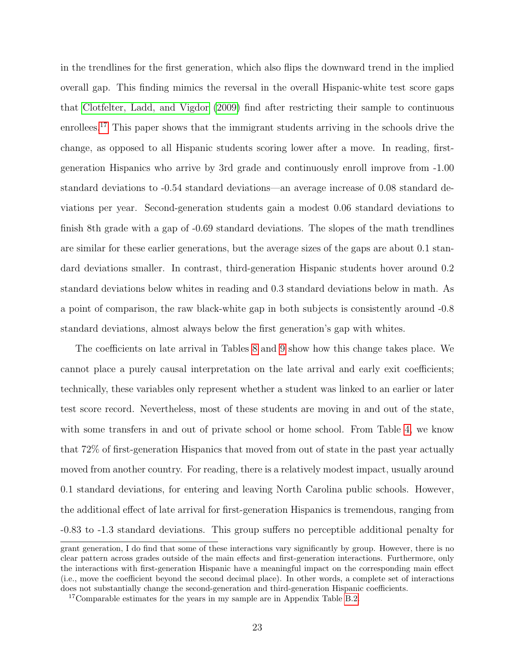in the trendlines for the first generation, which also flips the downward trend in the implied overall gap. This finding mimics the reversal in the overall Hispanic-white test score gaps that [Clotfelter, Ladd, and Vigdor](#page-30-0) [\(2009\)](#page-30-0) find after restricting their sample to continuous enrollees.<sup>[17](#page-24-0)</sup> This paper shows that the immigrant students arriving in the schools drive the change, as opposed to all Hispanic students scoring lower after a move. In reading, firstgeneration Hispanics who arrive by 3rd grade and continuously enroll improve from -1.00 standard deviations to -0.54 standard deviations—an average increase of 0.08 standard deviations per year. Second-generation students gain a modest 0.06 standard deviations to finish 8th grade with a gap of -0.69 standard deviations. The slopes of the math trendlines are similar for these earlier generations, but the average sizes of the gaps are about 0.1 standard deviations smaller. In contrast, third-generation Hispanic students hover around 0.2 standard deviations below whites in reading and 0.3 standard deviations below in math. As a point of comparison, the raw black-white gap in both subjects is consistently around -0.8 standard deviations, almost always below the first generation's gap with whites.

The coefficients on late arrival in Tables [8](#page-39-0) and [9](#page-40-0) show how this change takes place. We cannot place a purely causal interpretation on the late arrival and early exit coefficients; technically, these variables only represent whether a student was linked to an earlier or later test score record. Nevertheless, most of these students are moving in and out of the state, with some transfers in and out of private school or home school. From Table [4,](#page-35-0) we know that 72% of first-generation Hispanics that moved from out of state in the past year actually moved from another country. For reading, there is a relatively modest impact, usually around 0.1 standard deviations, for entering and leaving North Carolina public schools. However, the additional effect of late arrival for first-generation Hispanics is tremendous, ranging from -0.83 to -1.3 standard deviations. This group suffers no perceptible additional penalty for

grant generation, I do find that some of these interactions vary significantly by group. However, there is no clear pattern across grades outside of the main effects and first-generation interactions. Furthermore, only the interactions with first-generation Hispanic have a meaningful impact on the corresponding main effect (i.e., move the coefficient beyond the second decimal place). In other words, a complete set of interactions does not substantially change the second-generation and third-generation Hispanic coefficients.

<span id="page-24-0"></span><sup>&</sup>lt;sup>17</sup>Comparable estimates for the years in my sample are in Appendix Table [B.2.](#page-53-0)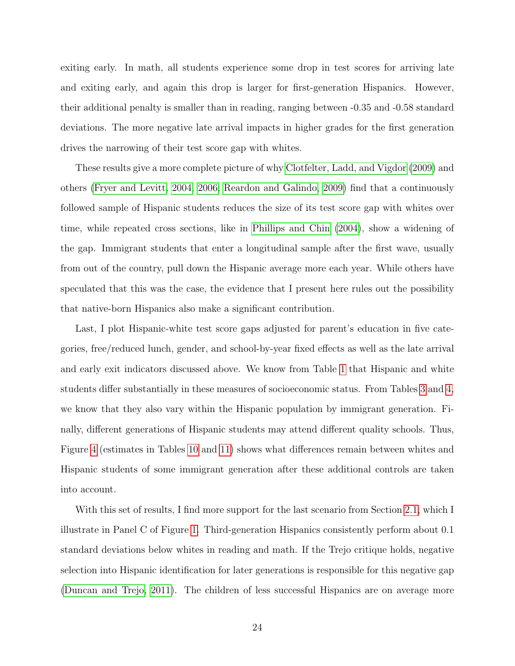exiting early. In math, all students experience some drop in test scores for arriving late and exiting early, and again this drop is larger for first-generation Hispanics. However, their additional penalty is smaller than in reading, ranging between -0.35 and -0.58 standard deviations. The more negative late arrival impacts in higher grades for the first generation drives the narrowing of their test score gap with whites.

These results give a more complete picture of why [Clotfelter, Ladd, and Vigdor](#page-30-0) [\(2009\)](#page-30-0) and others [\(Fryer and Levitt, 2004,](#page-30-3) [2006;](#page-30-4) [Reardon and Galindo, 2009\)](#page-31-2) find that a continuously followed sample of Hispanic students reduces the size of its test score gap with whites over time, while repeated cross sections, like in [Phillips and Chin](#page-31-1) [\(2004\)](#page-31-1), show a widening of the gap. Immigrant students that enter a longitudinal sample after the first wave, usually from out of the country, pull down the Hispanic average more each year. While others have speculated that this was the case, the evidence that I present here rules out the possibility that native-born Hispanics also make a significant contribution.

Last, I plot Hispanic-white test score gaps adjusted for parent's education in five categories, free/reduced lunch, gender, and school-by-year fixed effects as well as the late arrival and early exit indicators discussed above. We know from Table [1](#page-32-0) that Hispanic and white students differ substantially in these measures of socioeconomic status. From Tables [3](#page-34-0) and [4,](#page-35-0) we know that they also vary within the Hispanic population by immigrant generation. Finally, different generations of Hispanic students may attend different quality schools. Thus, Figure [4](#page-47-0) (estimates in Tables [10](#page-41-0) and [11\)](#page-42-0) shows what differences remain between whites and Hispanic students of some immigrant generation after these additional controls are taken into account.

With this set of results, I find more support for the last scenario from Section [2.1,](#page-7-2) which I illustrate in Panel C of Figure [1.](#page-43-0) Third-generation Hispanics consistently perform about 0.1 standard deviations below whites in reading and math. If the Trejo critique holds, negative selection into Hispanic identification for later generations is responsible for this negative gap [\(Duncan and Trejo, 2011\)](#page-30-5). The children of less successful Hispanics are on average more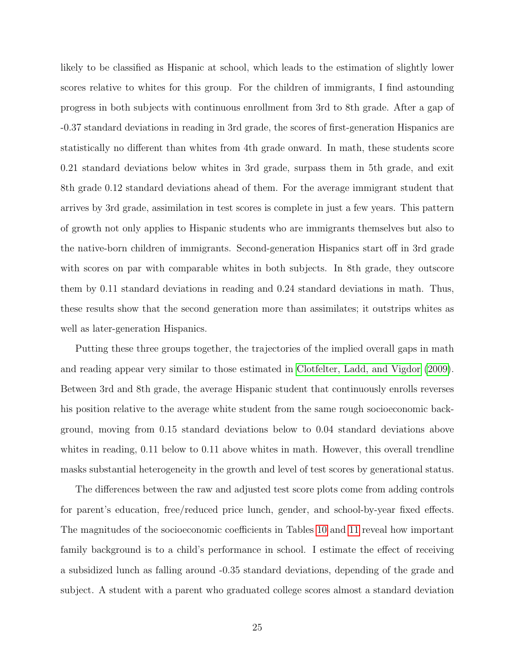likely to be classified as Hispanic at school, which leads to the estimation of slightly lower scores relative to whites for this group. For the children of immigrants, I find astounding progress in both subjects with continuous enrollment from 3rd to 8th grade. After a gap of -0.37 standard deviations in reading in 3rd grade, the scores of first-generation Hispanics are statistically no different than whites from 4th grade onward. In math, these students score 0.21 standard deviations below whites in 3rd grade, surpass them in 5th grade, and exit 8th grade 0.12 standard deviations ahead of them. For the average immigrant student that arrives by 3rd grade, assimilation in test scores is complete in just a few years. This pattern of growth not only applies to Hispanic students who are immigrants themselves but also to the native-born children of immigrants. Second-generation Hispanics start off in 3rd grade with scores on par with comparable whites in both subjects. In 8th grade, they outscore them by 0.11 standard deviations in reading and 0.24 standard deviations in math. Thus, these results show that the second generation more than assimilates; it outstrips whites as well as later-generation Hispanics.

Putting these three groups together, the trajectories of the implied overall gaps in math and reading appear very similar to those estimated in [Clotfelter, Ladd, and Vigdor](#page-30-0) [\(2009\)](#page-30-0). Between 3rd and 8th grade, the average Hispanic student that continuously enrolls reverses his position relative to the average white student from the same rough socioeconomic background, moving from 0.15 standard deviations below to 0.04 standard deviations above whites in reading, 0.11 below to 0.11 above whites in math. However, this overall trendline masks substantial heterogeneity in the growth and level of test scores by generational status.

The differences between the raw and adjusted test score plots come from adding controls for parent's education, free/reduced price lunch, gender, and school-by-year fixed effects. The magnitudes of the socioeconomic coefficients in Tables [10](#page-41-0) and [11](#page-42-0) reveal how important family background is to a child's performance in school. I estimate the effect of receiving a subsidized lunch as falling around -0.35 standard deviations, depending of the grade and subject. A student with a parent who graduated college scores almost a standard deviation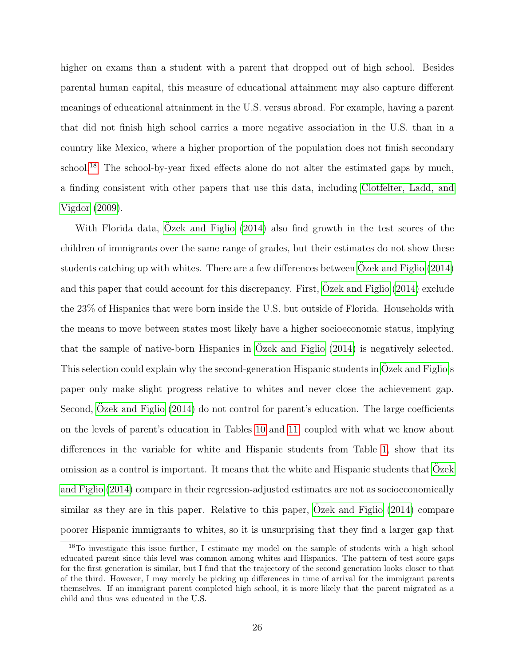higher on exams than a student with a parent that dropped out of high school. Besides parental human capital, this measure of educational attainment may also capture different meanings of educational attainment in the U.S. versus abroad. For example, having a parent that did not finish high school carries a more negative association in the U.S. than in a country like Mexico, where a higher proportion of the population does not finish secondary school.<sup>[18](#page-27-0)</sup> The school-by-year fixed effects alone do not alter the estimated gaps by much, a finding consistent with other papers that use this data, including [Clotfelter, Ladd, and](#page-30-0) [Vigdor](#page-30-0) [\(2009\)](#page-30-0).

With Florida data, [Ozek and Figlio](#page-31-5)  $(2014)$  also find growth in the test scores of the children of immigrants over the same range of grades, but their estimates do not show these students catching up with whites. There are a few differences between [Ozek and Figlio](#page-31-5)  $(2014)$ and this paper that could account for this discrepancy. First,  $\ddot{O}$ zek and Figlio [\(2014\)](#page-31-5) exclude the 23% of Hispanics that were born inside the U.S. but outside of Florida. Households with the means to move between states most likely have a higher socioeconomic status, implying that the sample of native-born Hispanics in [Ozek and Figlio](#page-31-5)  $(2014)$  is negatively selected. This selection could explain why the second-generation Hispanic students in [Ozek and Figlio'](#page-31-5)s paper only make slight progress relative to whites and never close the achievement gap. Second, [Ozek and Figlio](#page-31-5) [\(2014\)](#page-31-5) do not control for parent's education. The large coefficients on the levels of parent's education in Tables [10](#page-41-0) and [11,](#page-42-0) coupled with what we know about differences in the variable for white and Hispanic students from Table [1,](#page-32-0) show that its omission as a control is important. It means that the white and Hispanic students that [Ozek](#page-31-5) ¨ [and Figlio](#page-31-5) [\(2014\)](#page-31-5) compare in their regression-adjusted estimates are not as socioeconomically similar as they are in this paper. Relative to this paper,  $O$ zek and Figlio  $(2014)$  compare poorer Hispanic immigrants to whites, so it is unsurprising that they find a larger gap that

<span id="page-27-0"></span><sup>&</sup>lt;sup>18</sup>To investigate this issue further, I estimate my model on the sample of students with a high school educated parent since this level was common among whites and Hispanics. The pattern of test score gaps for the first generation is similar, but I find that the trajectory of the second generation looks closer to that of the third. However, I may merely be picking up differences in time of arrival for the immigrant parents themselves. If an immigrant parent completed high school, it is more likely that the parent migrated as a child and thus was educated in the U.S.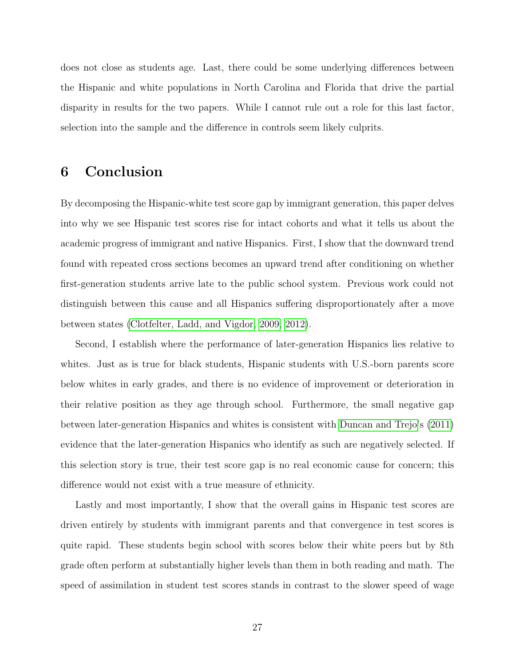does not close as students age. Last, there could be some underlying differences between the Hispanic and white populations in North Carolina and Florida that drive the partial disparity in results for the two papers. While I cannot rule out a role for this last factor, selection into the sample and the difference in controls seem likely culprits.

## <span id="page-28-0"></span>6 Conclusion

By decomposing the Hispanic-white test score gap by immigrant generation, this paper delves into why we see Hispanic test scores rise for intact cohorts and what it tells us about the academic progress of immigrant and native Hispanics. First, I show that the downward trend found with repeated cross sections becomes an upward trend after conditioning on whether first-generation students arrive late to the public school system. Previous work could not distinguish between this cause and all Hispanics suffering disproportionately after a move between states [\(Clotfelter, Ladd, and Vigdor, 2009,](#page-30-0) [2012\)](#page-30-6).

Second, I establish where the performance of later-generation Hispanics lies relative to whites. Just as is true for black students, Hispanic students with U.S.-born parents score below whites in early grades, and there is no evidence of improvement or deterioration in their relative position as they age through school. Furthermore, the small negative gap between later-generation Hispanics and whites is consistent with [Duncan and Trejo'](#page-30-5)s [\(2011\)](#page-30-5) evidence that the later-generation Hispanics who identify as such are negatively selected. If this selection story is true, their test score gap is no real economic cause for concern; this difference would not exist with a true measure of ethnicity.

Lastly and most importantly, I show that the overall gains in Hispanic test scores are driven entirely by students with immigrant parents and that convergence in test scores is quite rapid. These students begin school with scores below their white peers but by 8th grade often perform at substantially higher levels than them in both reading and math. The speed of assimilation in student test scores stands in contrast to the slower speed of wage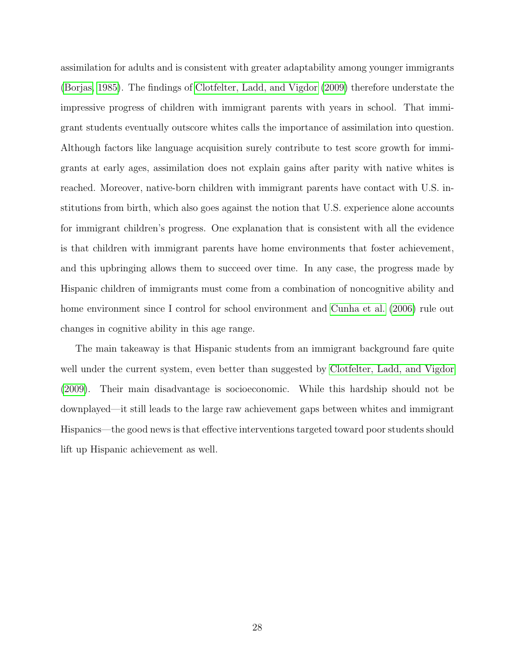assimilation for adults and is consistent with greater adaptability among younger immigrants [\(Borjas, 1985\)](#page-30-2). The findings of [Clotfelter, Ladd, and Vigdor](#page-30-0) [\(2009\)](#page-30-0) therefore understate the impressive progress of children with immigrant parents with years in school. That immigrant students eventually outscore whites calls the importance of assimilation into question. Although factors like language acquisition surely contribute to test score growth for immigrants at early ages, assimilation does not explain gains after parity with native whites is reached. Moreover, native-born children with immigrant parents have contact with U.S. institutions from birth, which also goes against the notion that U.S. experience alone accounts for immigrant children's progress. One explanation that is consistent with all the evidence is that children with immigrant parents have home environments that foster achievement, and this upbringing allows them to succeed over time. In any case, the progress made by Hispanic children of immigrants must come from a combination of noncognitive ability and home environment since I control for school environment and [Cunha et al.](#page-30-1) [\(2006\)](#page-30-1) rule out changes in cognitive ability in this age range.

The main takeaway is that Hispanic students from an immigrant background fare quite well under the current system, even better than suggested by [Clotfelter, Ladd, and Vigdor](#page-30-0) [\(2009\)](#page-30-0). Their main disadvantage is socioeconomic. While this hardship should not be downplayed—it still leads to the large raw achievement gaps between whites and immigrant Hispanics—the good news is that effective interventions targeted toward poor students should lift up Hispanic achievement as well.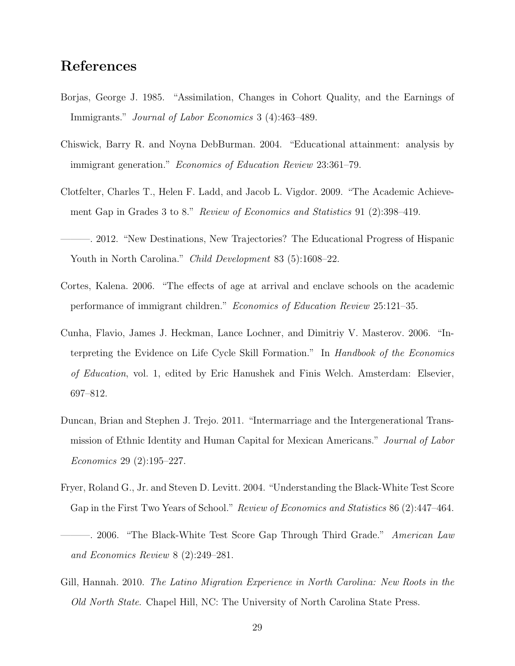## References

- <span id="page-30-2"></span>Borjas, George J. 1985. "Assimilation, Changes in Cohort Quality, and the Earnings of Immigrants." Journal of Labor Economics 3 (4):463–489.
- <span id="page-30-7"></span>Chiswick, Barry R. and Noyna DebBurman. 2004. "Educational attainment: analysis by immigrant generation." Economics of Education Review 23:361–79.
- <span id="page-30-0"></span>Clotfelter, Charles T., Helen F. Ladd, and Jacob L. Vigdor. 2009. "The Academic Achievement Gap in Grades 3 to 8." Review of Economics and Statistics 91 (2):398–419.
- <span id="page-30-6"></span>———. 2012. "New Destinations, New Trajectories? The Educational Progress of Hispanic Youth in North Carolina." *Child Development* 83 (5):1608–22.
- <span id="page-30-8"></span>Cortes, Kalena. 2006. "The effects of age at arrival and enclave schools on the academic performance of immigrant children." Economics of Education Review 25:121–35.
- <span id="page-30-1"></span>Cunha, Flavio, James J. Heckman, Lance Lochner, and Dimitriy V. Masterov. 2006. "Interpreting the Evidence on Life Cycle Skill Formation." In Handbook of the Economics of Education, vol. 1, edited by Eric Hanushek and Finis Welch. Amsterdam: Elsevier, 697–812.
- <span id="page-30-5"></span>Duncan, Brian and Stephen J. Trejo. 2011. "Intermarriage and the Intergenerational Transmission of Ethnic Identity and Human Capital for Mexican Americans." Journal of Labor Economics 29 (2):195–227.
- <span id="page-30-3"></span>Fryer, Roland G., Jr. and Steven D. Levitt. 2004. "Understanding the Black-White Test Score Gap in the First Two Years of School." Review of Economics and Statistics 86 (2):447–464.
- <span id="page-30-4"></span>-. 2006. "The Black-White Test Score Gap Through Third Grade." American Law and Economics Review 8 (2):249–281.
- <span id="page-30-9"></span>Gill, Hannah. 2010. The Latino Migration Experience in North Carolina: New Roots in the Old North State. Chapel Hill, NC: The University of North Carolina State Press.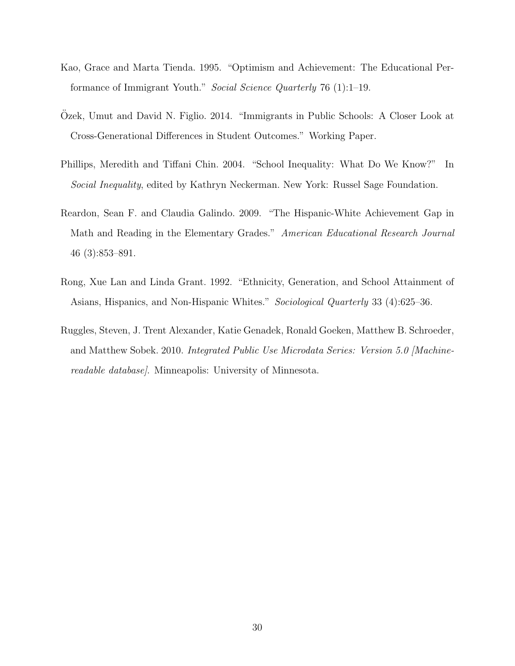- <span id="page-31-3"></span>Kao, Grace and Marta Tienda. 1995. "Optimism and Achievement: The Educational Performance of Immigrant Youth." Social Science Quarterly 76 (1):1–19.
- <span id="page-31-5"></span>Ozek, Umut and David N. Figlio. 2014. "Immigrants in Public Schools: A Closer Look at Cross-Generational Differences in Student Outcomes." Working Paper.
- <span id="page-31-1"></span>Phillips, Meredith and Tiffani Chin. 2004. "School Inequality: What Do We Know?" In Social Inequality, edited by Kathryn Neckerman. New York: Russel Sage Foundation.
- <span id="page-31-2"></span>Reardon, Sean F. and Claudia Galindo. 2009. "The Hispanic-White Achievement Gap in Math and Reading in the Elementary Grades." American Educational Research Journal 46 (3):853–891.
- <span id="page-31-4"></span>Rong, Xue Lan and Linda Grant. 1992. "Ethnicity, Generation, and School Attainment of Asians, Hispanics, and Non-Hispanic Whites." Sociological Quarterly 33 (4):625–36.
- <span id="page-31-0"></span>Ruggles, Steven, J. Trent Alexander, Katie Genadek, Ronald Goeken, Matthew B. Schroeder, and Matthew Sobek. 2010. Integrated Public Use Microdata Series: Version 5.0 [Machinereadable database]. Minneapolis: University of Minnesota.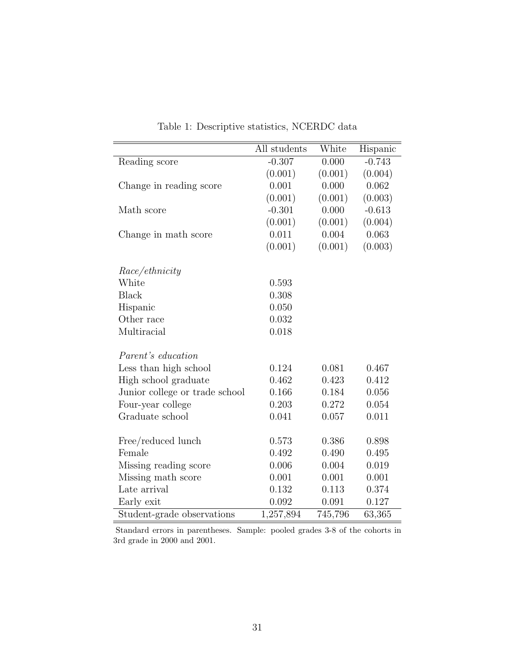<span id="page-32-0"></span>

|                                | All students | White   | Hispanic |
|--------------------------------|--------------|---------|----------|
| Reading score                  | $-0.307$     | 0.000   | $-0.743$ |
|                                | (0.001)      | (0.001) | (0.004)  |
| Change in reading score        | 0.001        | 0.000   | 0.062    |
|                                | (0.001)      | (0.001) | (0.003)  |
| Math score                     | $-0.301$     | 0.000   | $-0.613$ |
|                                | (0.001)      | (0.001) | (0.004)  |
| Change in math score           | 0.011        | 0.004   | 0.063    |
|                                | (0.001)      | (0.001) | (0.003)  |
| <i>Race/ethnicity</i>          |              |         |          |
| White                          | 0.593        |         |          |
| <b>Black</b>                   | 0.308        |         |          |
| Hispanic                       | 0.050        |         |          |
| Other race                     | 0.032        |         |          |
| Multiracial                    | 0.018        |         |          |
|                                |              |         |          |
| <i>Parent's education</i>      |              |         |          |
| Less than high school          | 0.124        | 0.081   | 0.467    |
| High school graduate           | 0.462        | 0.423   | 0.412    |
| Junior college or trade school | 0.166        | 0.184   | 0.056    |
| Four-year college              | 0.203        | 0.272   | 0.054    |
| Graduate school                | 0.041        | 0.057   | 0.011    |
|                                | 0.573        | 0.386   | 0.898    |
| Free/reduced lunch<br>Female   | 0.492        | 0.490   |          |
|                                |              |         | 0.495    |
| Missing reading score          | 0.006        | 0.004   | 0.019    |
| Missing math score             | 0.001        | 0.001   | 0.001    |
| Late arrival                   | 0.132        | 0.113   | 0.374    |
| Early exit                     | 0.092        | 0.091   | 0.127    |
| Student-grade observations     | 1,257,894    | 745,796 | 63,365   |

Table 1: Descriptive statistics, NCERDC data

Standard errors in parentheses. Sample: pooled grades 3-8 of the cohorts in 3rd grade in 2000 and 2001.

L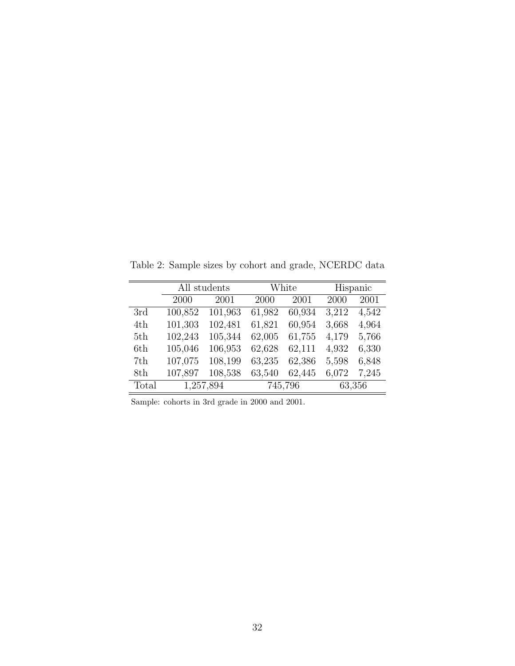|       | All students |         |        | White   | Hispanic |       |  |
|-------|--------------|---------|--------|---------|----------|-------|--|
|       | 2000         | 2001    | 2000   | 2001    | 2000     | 2001  |  |
| 3rd   | 100,852      | 101,963 | 61,982 | 60,934  | 3,212    | 4,542 |  |
| 4th   | 101,303      | 102,481 | 61,821 | 60,954  | 3,668    | 4,964 |  |
| 5th   | 102,243      | 105,344 | 62,005 | 61,755  | 4,179    | 5,766 |  |
| 6th   | 105,046      | 106,953 | 62,628 | 62,111  | 4,932    | 6,330 |  |
| 7th   | 107,075      | 108,199 | 63,235 | 62,386  | 5,598    | 6,848 |  |
| 8th   | 107,897      | 108,538 | 63,540 | 62,445  | 6,072    | 7,245 |  |
| Total | 1,257,894    |         |        | 745,796 | 63,356   |       |  |

<span id="page-33-0"></span>Table 2: Sample sizes by cohort and grade, NCERDC data

Sample: cohorts in 3rd grade in 2000 and 2001.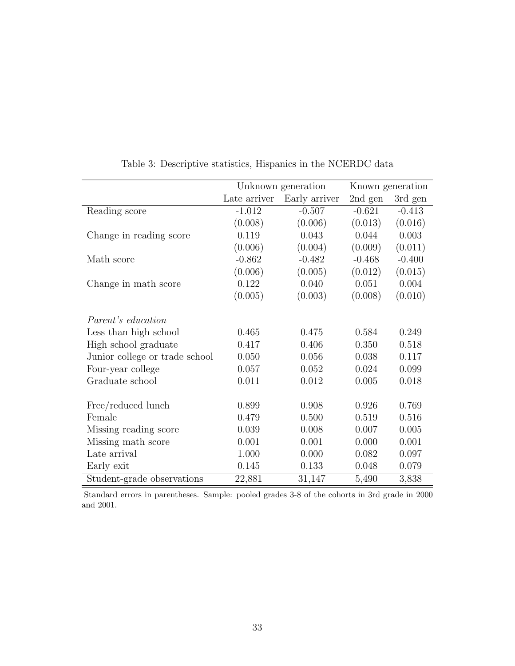<span id="page-34-0"></span>

|                                |              | Unknown generation |          | Known generation |
|--------------------------------|--------------|--------------------|----------|------------------|
|                                | Late arriver | Early arriver      | 2nd gen  | 3rd gen          |
| Reading score                  | $-1.012$     | $-0.507$           | $-0.621$ | $-0.413$         |
|                                | (0.008)      | (0.006)            | (0.013)  | (0.016)          |
| Change in reading score        | 0.119        | 0.043              | 0.044    | 0.003            |
|                                | (0.006)      | (0.004)            | (0.009)  | (0.011)          |
| Math score                     | $-0.862$     | $-0.482$           | $-0.468$ | $-0.400$         |
|                                | (0.006)      | (0.005)            | (0.012)  | (0.015)          |
| Change in math score           | 0.122        | 0.040              | 0.051    | 0.004            |
|                                | (0.005)      | (0.003)            | (0.008)  | (0.010)          |
| <i>Parent's education</i>      |              |                    |          |                  |
| Less than high school          | 0.465        | 0.475              | 0.584    | 0.249            |
| High school graduate           | 0.417        | 0.406              | 0.350    | 0.518            |
| Junior college or trade school | 0.050        | 0.056              | 0.038    | 0.117            |
| Four-year college              | 0.057        | 0.052              | 0.024    | 0.099            |
| Graduate school                | 0.011        | 0.012              | 0.005    | 0.018            |
| Free/reduced lunch             | 0.899        | 0.908              | 0.926    | 0.769            |
| Female                         | 0.479        | 0.500              | 0.519    | 0.516            |
| Missing reading score          | 0.039        | 0.008              | 0.007    | 0.005            |
| Missing math score             | 0.001        | 0.001              | 0.000    | 0.001            |
| Late arrival                   | 1.000        | 0.000              | 0.082    | 0.097            |
| Early exit                     | 0.145        | 0.133              | 0.048    | 0.079            |
| Student-grade observations     | 22,881       | 31,147             | 5,490    | 3,838            |

Table 3: Descriptive statistics, Hispanics in the NCERDC data

Standard errors in parentheses. Sample: pooled grades 3-8 of the cohorts in 3rd grade in 2000 and 2001.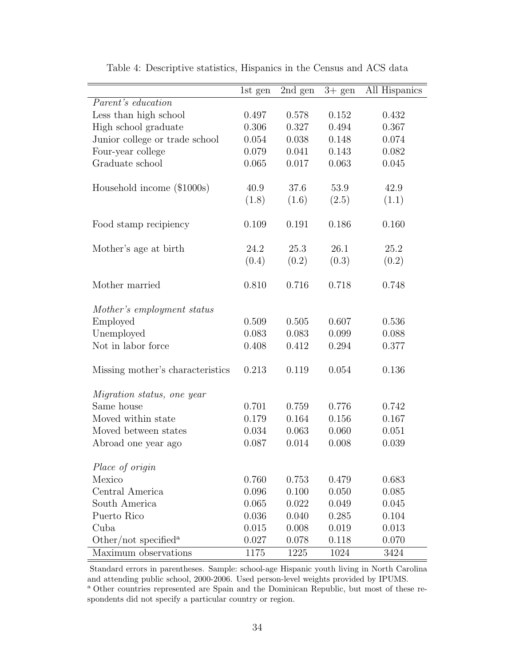<span id="page-35-0"></span>

|                                               | 1st gen | $\overline{2}$ nd gen | $3+$ gen | All Hispanics |
|-----------------------------------------------|---------|-----------------------|----------|---------------|
| Parent's education                            |         |                       |          |               |
| Less than high school                         | 0.497   | 0.578                 | 0.152    | 0.432         |
| High school graduate                          | 0.306   | 0.327                 | 0.494    | 0.367         |
| Junior college or trade school                | 0.054   | 0.038                 | 0.148    | 0.074         |
| Four-year college                             | 0.079   | 0.041                 | 0.143    | 0.082         |
| Graduate school                               | 0.065   | 0.017                 | 0.063    | 0.045         |
| Household income (\$1000s)                    | 40.9    | 37.6                  | 53.9     | 42.9          |
|                                               | (1.8)   | (1.6)                 | (2.5)    | (1.1)         |
| Food stamp recipiency                         | 0.109   | 0.191                 | 0.186    | 0.160         |
| Mother's age at birth                         | 24.2    | 25.3                  | 26.1     | 25.2          |
|                                               | (0.4)   | (0.2)                 | (0.3)    | (0.2)         |
| Mother married                                | 0.810   | 0.716                 | 0.718    | 0.748         |
| Mother's employment status                    |         |                       |          |               |
| Employed                                      | 0.509   | 0.505                 | 0.607    | 0.536         |
| Unemployed                                    | 0.083   | 0.083                 | 0.099    | 0.088         |
| Not in labor force                            | 0.408   | 0.412                 | 0.294    | 0.377         |
| Missing mother's characteristics              | 0.213   | 0.119                 | 0.054    | 0.136         |
| <i>Migration status, one year</i>             |         |                       |          |               |
| Same house                                    | 0.701   | 0.759                 | 0.776    | 0.742         |
| Moved within state                            | 0.179   | 0.164                 | 0.156    | 0.167         |
| Moved between states                          | 0.034   | 0.063                 | 0.060    | 0.051         |
| Abroad one year ago                           | 0.087   | 0.014                 | 0.008    | 0.039         |
| Place of origin                               |         |                       |          |               |
| Mexico                                        | 0.760   | 0.753                 | 0.479    | 0.683         |
| Central America                               | 0.096   | 0.100                 | 0.050    | 0.085         |
| South America                                 | 0.065   | 0.022                 | 0.049    | 0.045         |
| Puerto Rico                                   | 0.036   | 0.040                 | 0.285    | 0.104         |
| Cuba                                          | 0.015   | 0.008                 | 0.019    | 0.013         |
| Other/not specified <sup><math>a</math></sup> | 0.027   | 0.078                 | 0.118    | 0.070         |
| Maximum observations                          | 1175    | 1225                  | 1024     | 3424          |

Table 4: Descriptive statistics, Hispanics in the Census and ACS data

Standard errors in parentheses. Sample: school-age Hispanic youth living in North Carolina and attending public school, 2000-2006. Used person-level weights provided by IPUMS. <sup>a</sup> Other countries represented are Spain and the Dominican Republic, but most of these respondents did not specify a particular country or region.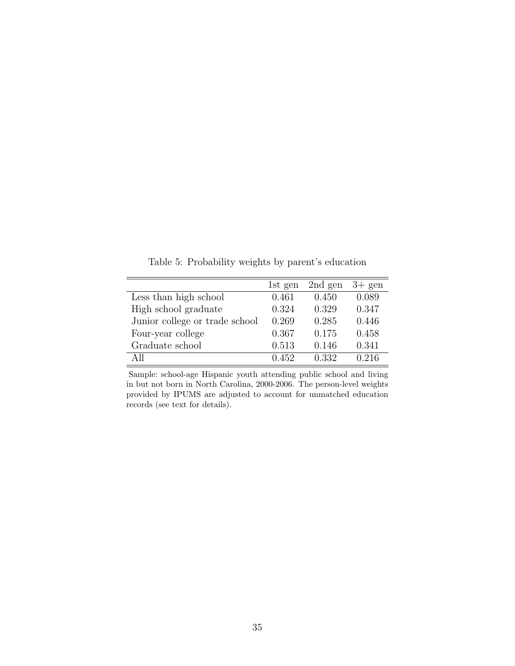<span id="page-36-0"></span>1st gen 2nd gen 3+ gen Less than high school  $0.461$   $0.450$   $0.089$ High school graduate 0.324 0.329 0.347 Junior college or trade school 0.269 0.285 0.446 Four-year college 0.367 0.175 0.458 Graduate school 0.513 0.146 0.341 All 0.452 0.332 0.216

Table 5: Probability weights by parent's education

Sample: school-age Hispanic youth attending public school and living in but not born in North Carolina, 2000-2006. The person-level weights provided by IPUMS are adjusted to account for unmatched education records (see text for details).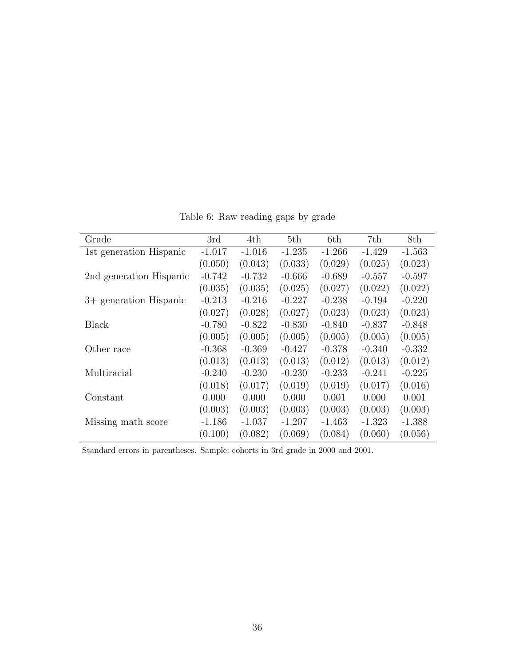<span id="page-37-0"></span>

| Grade                   | 3rd      | 4th      | 5th      | 6th      | 7th      | 8th      |
|-------------------------|----------|----------|----------|----------|----------|----------|
| 1st generation Hispanic | $-1.017$ | $-1.016$ | $-1.235$ | $-1.266$ | $-1.429$ | $-1.563$ |
|                         | (0.050)  | (0.043)  | (0.033)  | (0.029)  | (0.025)  | (0.023)  |
| 2nd generation Hispanic | $-0.742$ | $-0.732$ | $-0.666$ | $-0.689$ | $-0.557$ | $-0.597$ |
|                         | (0.035)  | (0.035)  | (0.025)  | (0.027)  | (0.022)  | (0.022)  |
| 3+ generation Hispanic  | $-0.213$ | $-0.216$ | $-0.227$ | $-0.238$ | $-0.194$ | $-0.220$ |
|                         | (0.027)  | (0.028)  | (0.027)  | (0.023)  | (0.023)  | (0.023)  |
| Black                   | $-0.780$ | $-0.822$ | $-0.830$ | $-0.840$ | $-0.837$ | $-0.848$ |
|                         | (0.005)  | (0.005)  | (0.005)  | (0.005)  | (0.005)  | (0.005)  |
| Other race              | $-0.368$ | $-0.369$ | $-0.427$ | $-0.378$ | $-0.340$ | $-0.332$ |
|                         | (0.013)  | (0.013)  | (0.013)  | (0.012)  | (0.013)  | (0.012)  |
| Multiracial             | $-0.240$ | $-0.230$ | $-0.230$ | $-0.233$ | $-0.241$ | $-0.225$ |
|                         | (0.018)  | (0.017)  | (0.019)  | (0.019)  | (0.017)  | (0.016)  |
| Constant                | 0.000    | 0.000    | 0.000    | 0.001    | 0.000    | 0.001    |
|                         | (0.003)  | (0.003)  | (0.003)  | (0.003)  | (0.003)  | (0.003)  |
| Missing math score      | $-1.186$ | $-1.037$ | $-1.207$ | $-1.463$ | $-1.323$ | $-1.388$ |
|                         | (0.100)  | (0.082)  | (0.069)  | (0.084)  | (0.060)  | (0.056)  |

Table 6: Raw reading gaps by grade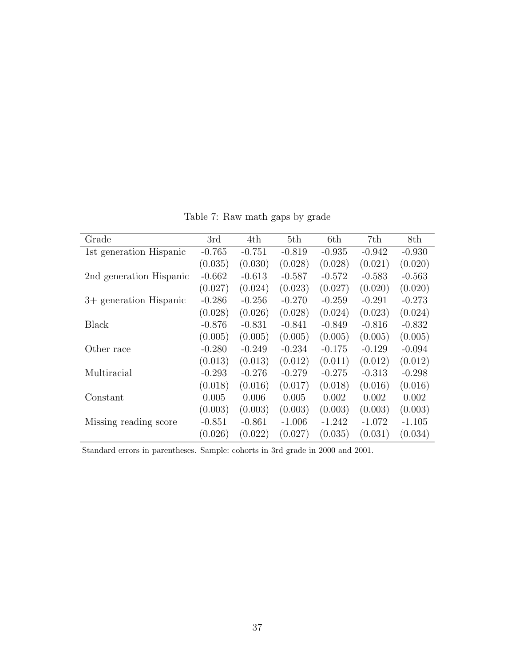<span id="page-38-0"></span>

| Grade                   | 3rd      | 4th      | 5th      | 6th      | 7th      | 8th      |
|-------------------------|----------|----------|----------|----------|----------|----------|
| 1st generation Hispanic | $-0.765$ | $-0.751$ | $-0.819$ | $-0.935$ | $-0.942$ | $-0.930$ |
|                         | (0.035)  | (0.030)  | (0.028)  | (0.028)  | (0.021)  | (0.020)  |
| 2nd generation Hispanic | $-0.662$ | $-0.613$ | $-0.587$ | $-0.572$ | $-0.583$ | $-0.563$ |
|                         | (0.027)  | (0.024)  | (0.023)  | (0.027)  | (0.020)  | (0.020)  |
| 3+ generation Hispanic  | $-0.286$ | $-0.256$ | $-0.270$ | $-0.259$ | $-0.291$ | -0.273   |
|                         | (0.028)  | (0.026)  | (0.028)  | (0.024)  | (0.023)  | (0.024)  |
| Black                   | $-0.876$ | $-0.831$ | $-0.841$ | $-0.849$ | $-0.816$ | $-0.832$ |
|                         | (0.005)  | (0.005)  | (0.005)  | (0.005)  | (0.005)  | (0.005)  |
| Other race              | $-0.280$ | $-0.249$ | $-0.234$ | $-0.175$ | $-0.129$ | $-0.094$ |
|                         | (0.013)  | (0.013)  | (0.012)  | (0.011)  | (0.012)  | (0.012)  |
| Multiracial             | $-0.293$ | $-0.276$ | $-0.279$ | $-0.275$ | $-0.313$ | $-0.298$ |
|                         | (0.018)  | (0.016)  | (0.017)  | (0.018)  | (0.016)  | (0.016)  |
| Constant                | 0.005    | 0.006    | 0.005    | 0.002    | 0.002    | 0.002    |
|                         | (0.003)  | (0.003)  | (0.003)  | (0.003)  | (0.003)  | (0.003)  |
| Missing reading score   | $-0.851$ | $-0.861$ | $-1.006$ | $-1.242$ | $-1.072$ | $-1.105$ |
|                         | (0.026)  | (0.022)  | (0.027)  | (0.035)  | (0.031)  | (0.034)  |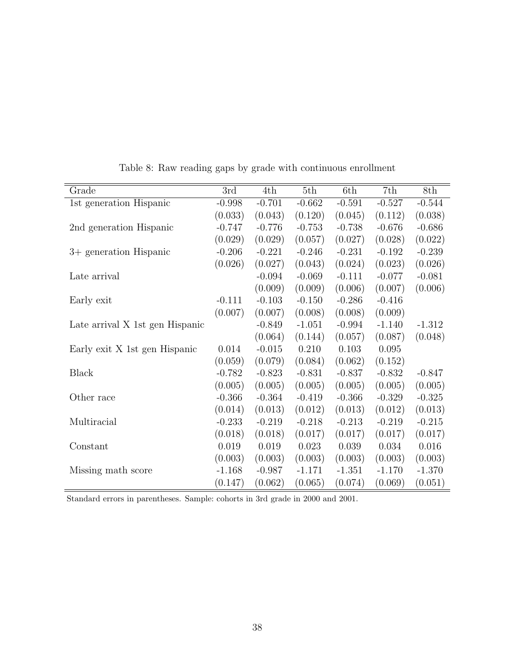<span id="page-39-0"></span>

| Grade                           | 3rd      | 4th      | 5th      | 6th      | 7th      | 8th      |
|---------------------------------|----------|----------|----------|----------|----------|----------|
| 1st generation Hispanic         | $-0.998$ | $-0.701$ | $-0.662$ | $-0.591$ | $-0.527$ | $-0.544$ |
|                                 | (0.033)  | (0.043)  | (0.120)  | (0.045)  | (0.112)  | (0.038)  |
| 2nd generation Hispanic         | $-0.747$ | $-0.776$ | $-0.753$ | $-0.738$ | $-0.676$ | $-0.686$ |
|                                 | (0.029)  | (0.029)  | (0.057)  | (0.027)  | (0.028)  | (0.022)  |
| 3+ generation Hispanic          | $-0.206$ | $-0.221$ | $-0.246$ | $-0.231$ | $-0.192$ | $-0.239$ |
|                                 | (0.026)  | (0.027)  | (0.043)  | (0.024)  | (0.023)  | (0.026)  |
| Late arrival                    |          | $-0.094$ | $-0.069$ | $-0.111$ | $-0.077$ | $-0.081$ |
|                                 |          | (0.009)  | (0.009)  | (0.006)  | (0.007)  | (0.006)  |
| Early exit                      | $-0.111$ | $-0.103$ | $-0.150$ | $-0.286$ | $-0.416$ |          |
|                                 | (0.007)  | (0.007)  | (0.008)  | (0.008)  | (0.009)  |          |
| Late arrival X 1st gen Hispanic |          | $-0.849$ | $-1.051$ | $-0.994$ | $-1.140$ | $-1.312$ |
|                                 |          | (0.064)  | (0.144)  | (0.057)  | (0.087)  | (0.048)  |
| Early exit X 1st gen Hispanic   | 0.014    | $-0.015$ | 0.210    | 0.103    | 0.095    |          |
|                                 | (0.059)  | (0.079)  | (0.084)  | (0.062)  | (0.152)  |          |
| <b>Black</b>                    | $-0.782$ | $-0.823$ | $-0.831$ | $-0.837$ | $-0.832$ | $-0.847$ |
|                                 | (0.005)  | (0.005)  | (0.005)  | (0.005)  | (0.005)  | (0.005)  |
| Other race                      | $-0.366$ | $-0.364$ | $-0.419$ | $-0.366$ | $-0.329$ | $-0.325$ |
|                                 | (0.014)  | (0.013)  | (0.012)  | (0.013)  | (0.012)  | (0.013)  |
| Multiracial                     | $-0.233$ | $-0.219$ | $-0.218$ | $-0.213$ | $-0.219$ | $-0.215$ |
|                                 | (0.018)  | (0.018)  | (0.017)  | (0.017)  | (0.017)  | (0.017)  |
| Constant                        | 0.019    | 0.019    | 0.023    | 0.039    | 0.034    | 0.016    |
|                                 | (0.003)  | (0.003)  | (0.003)  | (0.003)  | (0.003)  | (0.003)  |
| Missing math score              | $-1.168$ | $-0.987$ | $-1.171$ | $-1.351$ | $-1.170$ | $-1.370$ |
|                                 | (0.147)  | (0.062)  | (0.065)  | (0.074)  | (0.069)  | (0.051)  |

Table 8: Raw reading gaps by grade with continuous enrollment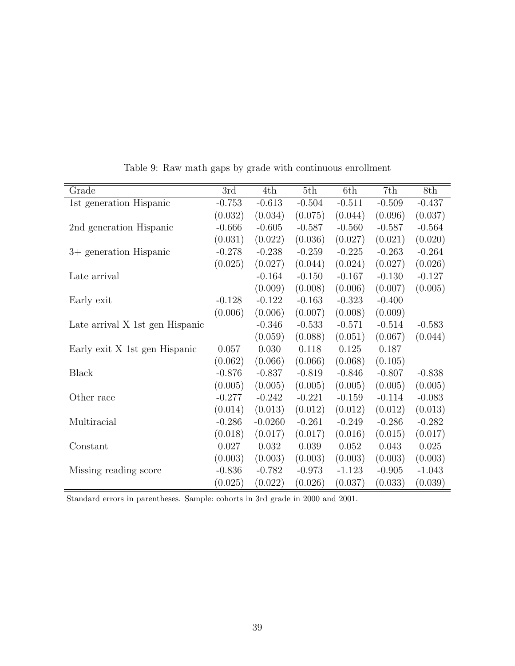<span id="page-40-0"></span>

| Grade                           | 3rd      | 4th       | 5th      | 6th      | 7th      | 8th      |
|---------------------------------|----------|-----------|----------|----------|----------|----------|
| 1st generation Hispanic         | $-0.753$ | $-0.613$  | $-0.504$ | $-0.511$ | $-0.509$ | $-0.437$ |
|                                 | (0.032)  | (0.034)   | (0.075)  | (0.044)  | (0.096)  | (0.037)  |
| 2nd generation Hispanic         | $-0.666$ | $-0.605$  | $-0.587$ | $-0.560$ | $-0.587$ | $-0.564$ |
|                                 | (0.031)  | (0.022)   | (0.036)  | (0.027)  | (0.021)  | (0.020)  |
| 3+ generation Hispanic          | $-0.278$ | $-0.238$  | $-0.259$ | $-0.225$ | $-0.263$ | $-0.264$ |
|                                 | (0.025)  | (0.027)   | (0.044)  | (0.024)  | (0.027)  | (0.026)  |
| Late arrival                    |          | $-0.164$  | $-0.150$ | $-0.167$ | $-0.130$ | $-0.127$ |
|                                 |          | (0.009)   | (0.008)  | (0.006)  | (0.007)  | (0.005)  |
| Early exit                      | $-0.128$ | $-0.122$  | $-0.163$ | $-0.323$ | $-0.400$ |          |
|                                 | (0.006)  | (0.006)   | (0.007)  | (0.008)  | (0.009)  |          |
| Late arrival X 1st gen Hispanic |          | $-0.346$  | $-0.533$ | $-0.571$ | $-0.514$ | $-0.583$ |
|                                 |          | (0.059)   | (0.088)  | (0.051)  | (0.067)  | (0.044)  |
| Early exit X 1st gen Hispanic   | 0.057    | 0.030     | 0.118    | 0.125    | 0.187    |          |
|                                 | (0.062)  | (0.066)   | (0.066)  | (0.068)  | (0.105)  |          |
| Black                           | $-0.876$ | $-0.837$  | $-0.819$ | $-0.846$ | $-0.807$ | $-0.838$ |
|                                 | (0.005)  | (0.005)   | (0.005)  | (0.005)  | (0.005)  | (0.005)  |
| Other race                      | $-0.277$ | $-0.242$  | $-0.221$ | $-0.159$ | $-0.114$ | $-0.083$ |
|                                 | (0.014)  | (0.013)   | (0.012)  | (0.012)  | (0.012)  | (0.013)  |
| Multiracial                     | $-0.286$ | $-0.0260$ | $-0.261$ | $-0.249$ | $-0.286$ | $-0.282$ |
|                                 | (0.018)  | (0.017)   | (0.017)  | (0.016)  | (0.015)  | (0.017)  |
| Constant                        | 0.027    | 0.032     | 0.039    | 0.052    | 0.043    | 0.025    |
|                                 | (0.003)  | (0.003)   | (0.003)  | (0.003)  | (0.003)  | (0.003)  |
| Missing reading score           | $-0.836$ | $-0.782$  | $-0.973$ | $-1.123$ | $-0.905$ | $-1.043$ |
|                                 | (0.025)  | (0.022)   | (0.026)  | (0.037)  | (0.033)  | (0.039)  |

Table 9: Raw math gaps by grade with continuous enrollment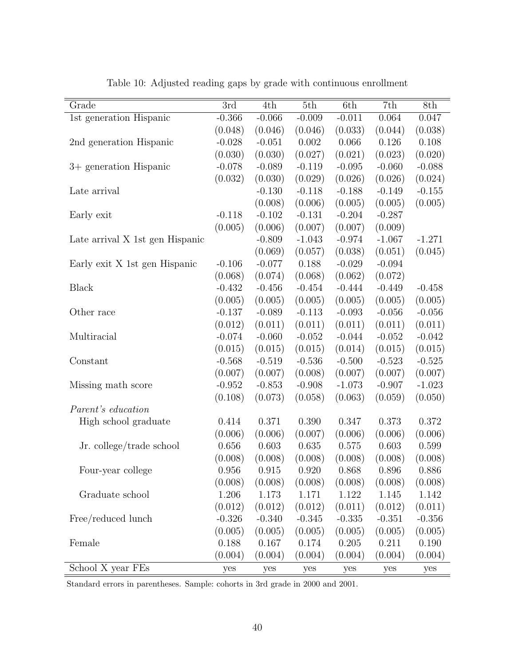<span id="page-41-0"></span>

| Grade                           | 3rd      | 4th      | 5th      | 6th      | 7th       | 8th      |
|---------------------------------|----------|----------|----------|----------|-----------|----------|
| 1st generation Hispanic         | $-0.366$ | $-0.066$ | $-0.009$ | $-0.011$ | 0.064     | 0.047    |
|                                 | (0.048)  | (0.046)  | (0.046)  | (0.033)  | (0.044)   | (0.038)  |
| 2nd generation Hispanic         | $-0.028$ | $-0.051$ | 0.002    | 0.066    | 0.126     | 0.108    |
|                                 | (0.030)  | (0.030)  | (0.027)  | (0.021)  | (0.023)   | (0.020)  |
| 3+ generation Hispanic          | $-0.078$ | $-0.089$ | $-0.119$ | $-0.095$ | $-0.060$  | $-0.088$ |
|                                 | (0.032)  | (0.030)  | (0.029)  | (0.026)  | (0.026)   | (0.024)  |
| Late arrival                    |          | $-0.130$ | $-0.118$ | $-0.188$ | $-0.149$  | $-0.155$ |
|                                 |          | (0.008)  | (0.006)  | (0.005)  | (0.005)   | (0.005)  |
| Early exit                      | $-0.118$ | $-0.102$ | $-0.131$ | $-0.204$ | $-0.287$  |          |
|                                 | (0.005)  | (0.006)  | (0.007)  | (0.007)  | (0.009)   |          |
| Late arrival X 1st gen Hispanic |          | $-0.809$ | $-1.043$ | $-0.974$ | $-1.067$  | $-1.271$ |
|                                 |          | (0.069)  | (0.057)  | (0.038)  | (0.051)   | (0.045)  |
| Early exit X 1st gen Hispanic   | $-0.106$ | $-0.077$ | 0.188    | $-0.029$ | $-0.094$  |          |
|                                 | (0.068)  | (0.074)  | (0.068)  | (0.062)  | (0.072)   |          |
| <b>Black</b>                    | $-0.432$ | $-0.456$ | $-0.454$ | $-0.444$ | $-0.449$  | $-0.458$ |
|                                 | (0.005)  | (0.005)  | (0.005)  | (0.005)  | (0.005)   | (0.005)  |
| Other race                      | $-0.137$ | $-0.089$ | $-0.113$ | $-0.093$ | $-0.056$  | $-0.056$ |
|                                 | (0.012)  | (0.011)  | (0.011)  | (0.011)  | (0.011)   | (0.011)  |
| Multiracial                     | $-0.074$ | $-0.060$ | $-0.052$ | $-0.044$ | $-0.052$  | $-0.042$ |
|                                 | (0.015)  | (0.015)  | (0.015)  | (0.014)  | (0.015)   | (0.015)  |
| Constant                        | $-0.568$ | $-0.519$ | $-0.536$ | $-0.500$ | $-0.523$  | $-0.525$ |
|                                 | (0.007)  | (0.007)  | (0.008)  | (0.007)  | (0.007)   | (0.007)  |
| Missing math score              | $-0.952$ | $-0.853$ | $-0.908$ | $-1.073$ | $-0.907$  | $-1.023$ |
|                                 | (0.108)  | (0.073)  | (0.058)  | (0.063)  | (0.059)   | (0.050)  |
| Parent's education              |          |          |          |          |           |          |
| High school graduate            | 0.414    | 0.371    | 0.390    | 0.347    | 0.373     | 0.372    |
|                                 | (0.006)  | (0.006)  | (0.007)  | (0.006)  | (0.006)   | (0.006)  |
| Jr. college/trade school        | 0.656    | 0.603    | 0.635    | 0.575    | 0.603     | 0.599    |
|                                 | (0.008)  | (0.008)  | (0.008)  | (0.008)  | (0.008)   | (0.008)  |
| Four-year college               | 0.956    | 0.915    | 0.920    | 0.868    | 0.896     | 0.886    |
|                                 | (0.008)  | (0.008)  | (0.008)  | (0.008)  | (0.008)   | (0.008)  |
| Graduate school                 | 1.206    | 1.173    | 1.171    | 1.122    | 1.145     | 1.142    |
|                                 | (0.012)  | (0.012)  | (0.012)  | (0.011)  | (0.012)   | (0.011)  |
| Free/reduced lunch              | $-0.326$ | $-0.340$ | $-0.345$ | $-0.335$ | $-0.351$  | $-0.356$ |
|                                 | (0.005)  | (0.005)  | (0.005)  | (0.005)  | (0.005)   | (0.005)  |
| Female                          | 0.188    | 0.167    | 0.174    | 0.205    | $0.211\,$ | 0.190    |
|                                 | (0.004)  | (0.004)  | (0.004)  | (0.004)  | (0.004)   | (0.004)  |
| School X year FEs               | yes      | yes      | yes      | yes      | yes       | yes      |

Table 10: Adjusted reading gaps by grade with continuous enrollment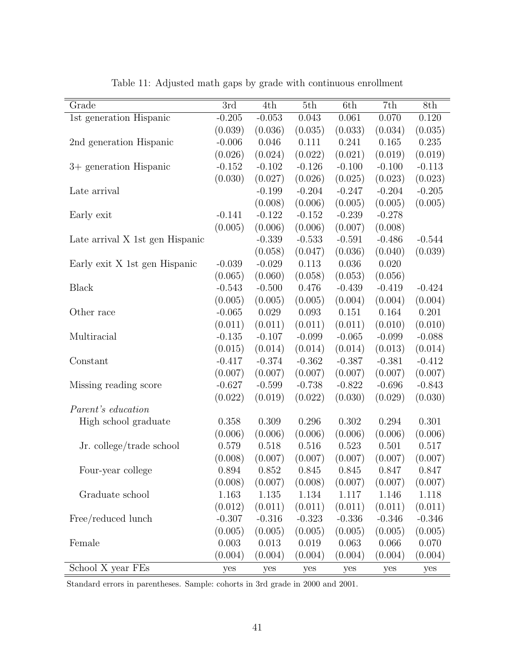<span id="page-42-0"></span>

| Grade                           | 3rd      | 4th      | 5th      | 6th      | 7th      | 8th      |
|---------------------------------|----------|----------|----------|----------|----------|----------|
| 1st generation Hispanic         | $-0.205$ | $-0.053$ | 0.043    | 0.061    | 0.070    | 0.120    |
|                                 | (0.039)  | (0.036)  | (0.035)  | (0.033)  | (0.034)  | (0.035)  |
| 2nd generation Hispanic         | $-0.006$ | 0.046    | 0.111    | 0.241    | 0.165    | 0.235    |
|                                 | (0.026)  | (0.024)  | (0.022)  | (0.021)  | (0.019)  | (0.019)  |
| 3+ generation Hispanic          | $-0.152$ | $-0.102$ | $-0.126$ | $-0.100$ | $-0.100$ | $-0.113$ |
|                                 | (0.030)  | (0.027)  | (0.026)  | (0.025)  | (0.023)  | (0.023)  |
| Late arrival                    |          | $-0.199$ | $-0.204$ | $-0.247$ | $-0.204$ | $-0.205$ |
|                                 |          | (0.008)  | (0.006)  | (0.005)  | (0.005)  | (0.005)  |
| Early exit                      | $-0.141$ | $-0.122$ | $-0.152$ | $-0.239$ | $-0.278$ |          |
|                                 | (0.005)  | (0.006)  | (0.006)  | (0.007)  | (0.008)  |          |
| Late arrival X 1st gen Hispanic |          | $-0.339$ | $-0.533$ | $-0.591$ | $-0.486$ | $-0.544$ |
|                                 |          | (0.058)  | (0.047)  | (0.036)  | (0.040)  | (0.039)  |
| Early exit X 1st gen Hispanic   | $-0.039$ | $-0.029$ | 0.113    | 0.036    | 0.020    |          |
|                                 | (0.065)  | (0.060)  | (0.058)  | (0.053)  | (0.056)  |          |
| <b>Black</b>                    | $-0.543$ | $-0.500$ | 0.476    | $-0.439$ | $-0.419$ | $-0.424$ |
|                                 | (0.005)  | (0.005)  | (0.005)  | (0.004)  | (0.004)  | (0.004)  |
| Other race                      | $-0.065$ | 0.029    | 0.093    | 0.151    | 0.164    | 0.201    |
|                                 | (0.011)  | (0.011)  | (0.011)  | (0.011)  | (0.010)  | (0.010)  |
| Multiracial                     | $-0.135$ | $-0.107$ | $-0.099$ | $-0.065$ | $-0.099$ | $-0.088$ |
|                                 | (0.015)  | (0.014)  | (0.014)  | (0.014)  | (0.013)  | (0.014)  |
| Constant                        | $-0.417$ | $-0.374$ | $-0.362$ | $-0.387$ | $-0.381$ | $-0.412$ |
|                                 | (0.007)  | (0.007)  | (0.007)  | (0.007)  | (0.007)  | (0.007)  |
| Missing reading score           | $-0.627$ | $-0.599$ | $-0.738$ | $-0.822$ | $-0.696$ | $-0.843$ |
|                                 | (0.022)  | (0.019)  | (0.022)  | (0.030)  | (0.029)  | (0.030)  |
| Parent's education              |          |          |          |          |          |          |
| High school graduate            | 0.358    | 0.309    | 0.296    | 0.302    | 0.294    | 0.301    |
|                                 | (0.006)  | (0.006)  | (0.006)  | (0.006)  | (0.006)  | (0.006)  |
| Jr. college/trade school        | 0.579    | 0.518    | 0.516    | 0.523    | 0.501    | 0.517    |
|                                 | (0.008)  | (0.007)  | (0.007)  | (0.007)  | (0.007)  | (0.007)  |
| Four-year college               | 0.894    | 0.852    | 0.845    | 0.845    | 0.847    | 0.847    |
|                                 | (0.008)  | (0.007)  | (0.008)  | (0.007)  | (0.007)  | (0.007)  |
| Graduate school                 | 1.163    | 1.135    | 1.134    | 1.117    | 1.146    | 1.118    |
|                                 | (0.012)  | (0.011)  | (0.011)  | (0.011)  | (0.011)  | (0.011)  |
| Free/reduced lunch              | $-0.307$ | $-0.316$ | $-0.323$ | $-0.336$ | $-0.346$ | $-0.346$ |
|                                 | (0.005)  | (0.005)  | (0.005)  | (0.005)  | (0.005)  | (0.005)  |
| Female                          | 0.003    | 0.013    | 0.019    | 0.063    | 0.066    | 0.070    |
|                                 | (0.004)  | (0.004)  | (0.004)  | (0.004)  | (0.004)  | (0.004)  |
| School X year FEs               | yes      | yes      | yes      | yes      | yes      | yes      |

Table 11: Adjusted math gaps by grade with continuous enrollment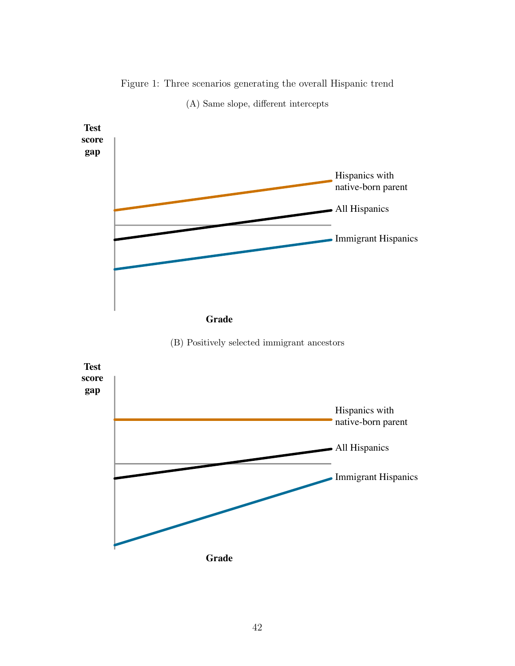<span id="page-43-0"></span>

Figure 1: Three scenarios generating the overall Hispanic trend (A) Same slope, different intercepts

(B) Positively selected immigrant ancestors

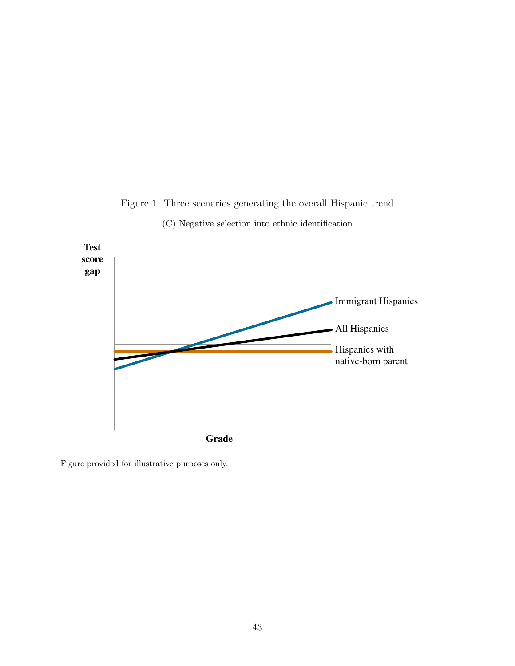

Figure 1: Three scenarios generating the overall Hispanic trend

(C) Negative selection into ethnic identification

Figure provided for illustrative purposes only.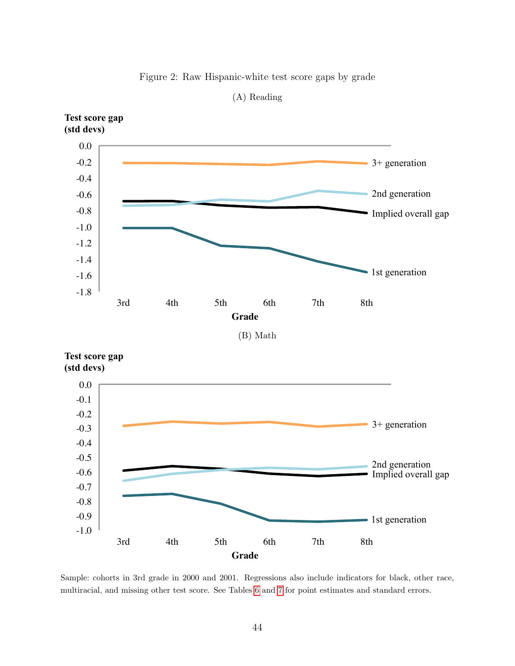

<span id="page-45-0"></span>

(A) Reading

**Test score gap (std devs)** 



Sample: cohorts in 3rd grade in 2000 and 2001. Regressions also include indicators for black, other race, multiracial, and missing other test score. See Tables [6](#page-37-0) and [7](#page-38-0) for point estimates and standard errors.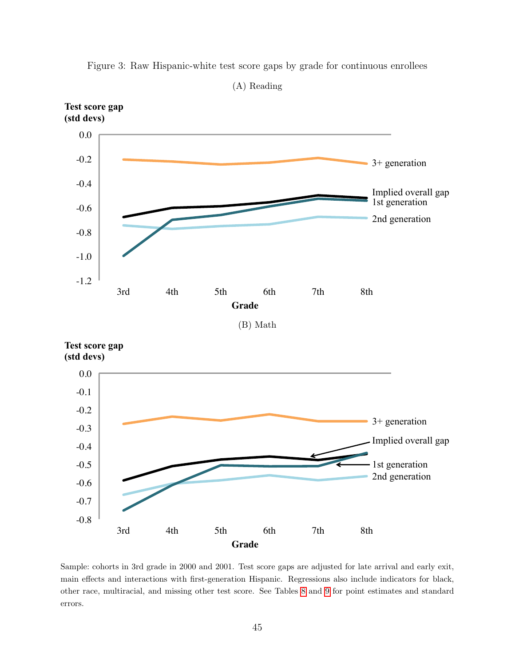

<span id="page-46-0"></span>Figure 3: Raw Hispanic-white test score gaps by grade for continuous enrollees

(A) Reading

Sample: cohorts in 3rd grade in 2000 and 2001. Test score gaps are adjusted for late arrival and early exit, main effects and interactions with first-generation Hispanic. Regressions also include indicators for black, other race, multiracial, and missing other test score. See Tables [8](#page-39-0) and [9](#page-40-0) for point estimates and standard errors.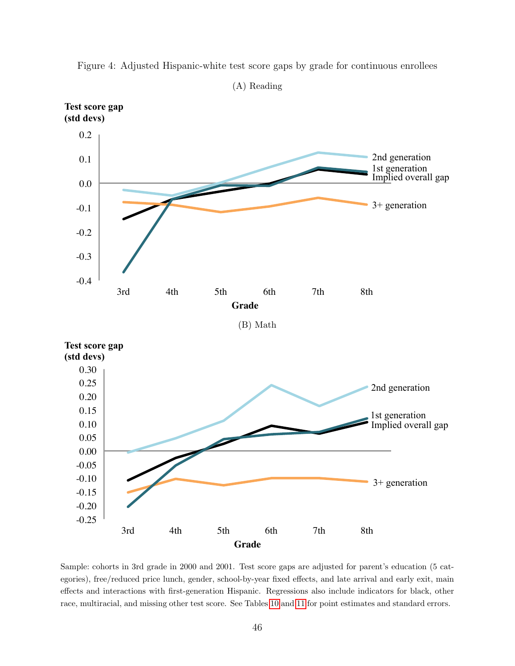

<span id="page-47-0"></span>Figure 4: Adjusted Hispanic-white test score gaps by grade for continuous enrollees

egories), free/reduced price lunch, gender, school-by-year fixed effects, and late arrival and early exit, main effects and interactions with first-generation Hispanic. Regressions also include indicators for black, other race, multiracial, and missing other test score. See Tables [10](#page-41-0) and [11](#page-42-0) for point estimates and standard errors.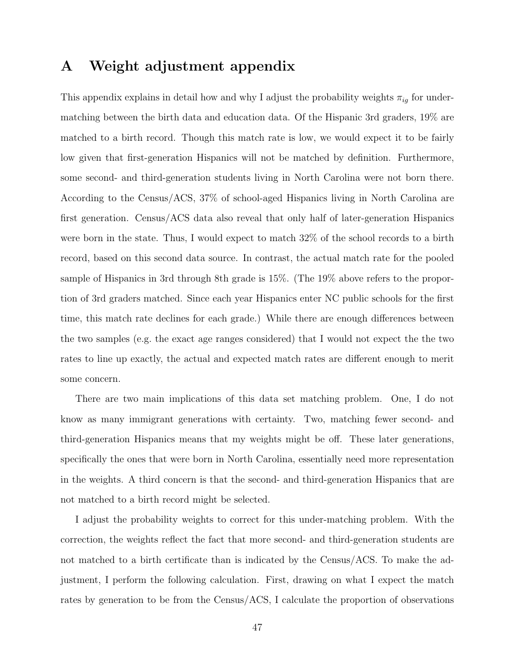## A Weight adjustment appendix

This appendix explains in detail how and why I adjust the probability weights  $\pi_{ig}$  for undermatching between the birth data and education data. Of the Hispanic 3rd graders, 19% are matched to a birth record. Though this match rate is low, we would expect it to be fairly low given that first-generation Hispanics will not be matched by definition. Furthermore, some second- and third-generation students living in North Carolina were not born there. According to the Census/ACS, 37% of school-aged Hispanics living in North Carolina are first generation. Census/ACS data also reveal that only half of later-generation Hispanics were born in the state. Thus, I would expect to match 32% of the school records to a birth record, based on this second data source. In contrast, the actual match rate for the pooled sample of Hispanics in 3rd through 8th grade is 15%. (The 19% above refers to the proportion of 3rd graders matched. Since each year Hispanics enter NC public schools for the first time, this match rate declines for each grade.) While there are enough differences between the two samples (e.g. the exact age ranges considered) that I would not expect the the two rates to line up exactly, the actual and expected match rates are different enough to merit some concern.

There are two main implications of this data set matching problem. One, I do not know as many immigrant generations with certainty. Two, matching fewer second- and third-generation Hispanics means that my weights might be off. These later generations, specifically the ones that were born in North Carolina, essentially need more representation in the weights. A third concern is that the second- and third-generation Hispanics that are not matched to a birth record might be selected.

I adjust the probability weights to correct for this under-matching problem. With the correction, the weights reflect the fact that more second- and third-generation students are not matched to a birth certificate than is indicated by the Census/ACS. To make the adjustment, I perform the following calculation. First, drawing on what I expect the match rates by generation to be from the Census/ACS, I calculate the proportion of observations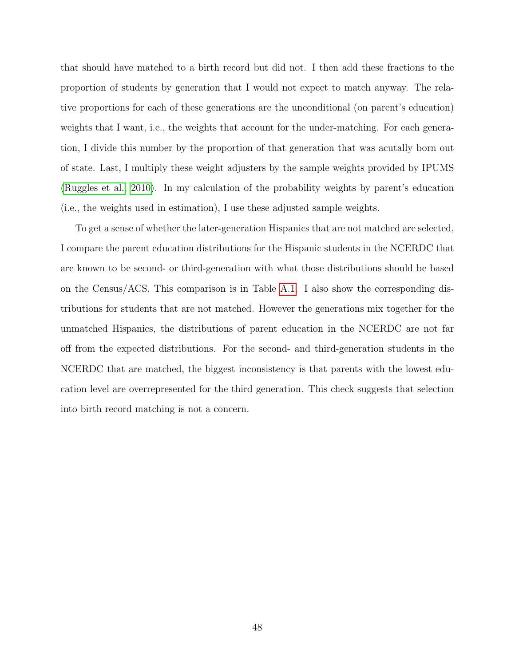that should have matched to a birth record but did not. I then add these fractions to the proportion of students by generation that I would not expect to match anyway. The relative proportions for each of these generations are the unconditional (on parent's education) weights that I want, i.e., the weights that account for the under-matching. For each generation, I divide this number by the proportion of that generation that was acutally born out of state. Last, I multiply these weight adjusters by the sample weights provided by IPUMS [\(Ruggles et al., 2010\)](#page-31-0). In my calculation of the probability weights by parent's education (i.e., the weights used in estimation), I use these adjusted sample weights.

To get a sense of whether the later-generation Hispanics that are not matched are selected, I compare the parent education distributions for the Hispanic students in the NCERDC that are known to be second- or third-generation with what those distributions should be based on the Census/ACS. This comparison is in Table [A.1.](#page-50-0) I also show the corresponding distributions for students that are not matched. However the generations mix together for the unmatched Hispanics, the distributions of parent education in the NCERDC are not far off from the expected distributions. For the second- and third-generation students in the NCERDC that are matched, the biggest inconsistency is that parents with the lowest education level are overrepresented for the third generation. This check suggests that selection into birth record matching is not a concern.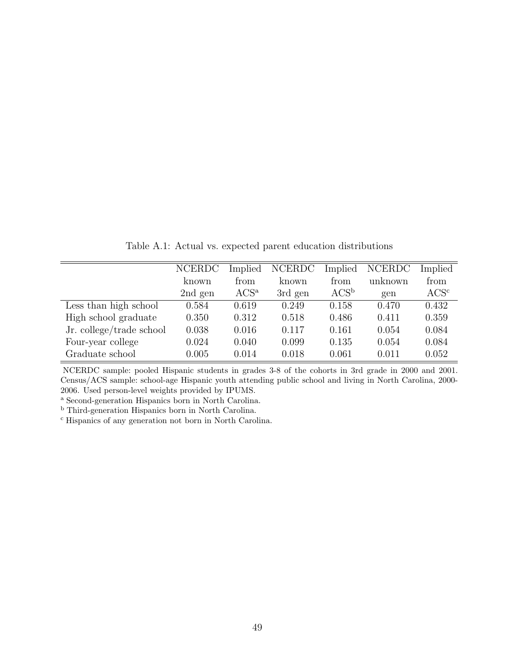<span id="page-50-0"></span>

|                          | <b>NCERDC</b> | Implied | <b>NCERDC</b> | Implied | <b>NCERDC</b> | Implied     |
|--------------------------|---------------|---------|---------------|---------|---------------|-------------|
|                          | known         | from    | known         | from    | unknown       | from        |
|                          | 2nd gen       | $ACS^a$ | 3rd gen       | $ACS^b$ | gen           | $\rm ACS^c$ |
| Less than high school    | 0.584         | 0.619   | 0.249         | 0.158   | 0.470         | 0.432       |
| High school graduate     | 0.350         | 0.312   | 0.518         | 0.486   | 0.411         | 0.359       |
| Jr. college/trade school | 0.038         | 0.016   | 0.117         | 0.161   | 0.054         | 0.084       |
| Four-year college        | 0.024         | 0.040   | 0.099         | 0.135   | 0.054         | 0.084       |
| Graduate school          | 0.005         | 0.014   | 0.018         | 0.061   | 0.011         | 0.052       |

Table A.1: Actual vs. expected parent education distributions

NCERDC sample: pooled Hispanic students in grades 3-8 of the cohorts in 3rd grade in 2000 and 2001. Census/ACS sample: school-age Hispanic youth attending public school and living in North Carolina, 2000- 2006. Used person-level weights provided by IPUMS.

<sup>a</sup> Second-generation Hispanics born in North Carolina.

<sup>b</sup> Third-generation Hispanics born in North Carolina.

<sup>c</sup> Hispanics of any generation not born in North Carolina.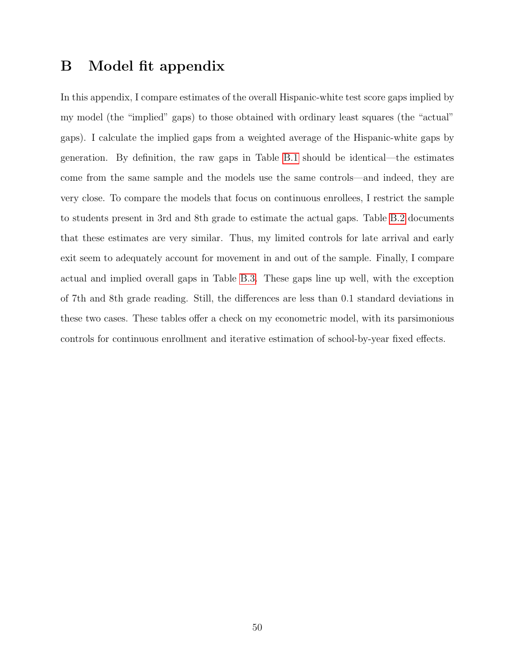## B Model fit appendix

In this appendix, I compare estimates of the overall Hispanic-white test score gaps implied by my model (the "implied" gaps) to those obtained with ordinary least squares (the "actual" gaps). I calculate the implied gaps from a weighted average of the Hispanic-white gaps by generation. By definition, the raw gaps in Table [B.1](#page-52-0) should be identical—the estimates come from the same sample and the models use the same controls—and indeed, they are very close. To compare the models that focus on continuous enrollees, I restrict the sample to students present in 3rd and 8th grade to estimate the actual gaps. Table [B.2](#page-53-0) documents that these estimates are very similar. Thus, my limited controls for late arrival and early exit seem to adequately account for movement in and out of the sample. Finally, I compare actual and implied overall gaps in Table [B.3.](#page-54-0) These gaps line up well, with the exception of 7th and 8th grade reading. Still, the differences are less than 0.1 standard deviations in these two cases. These tables offer a check on my econometric model, with its parsimonious controls for continuous enrollment and iterative estimation of school-by-year fixed effects.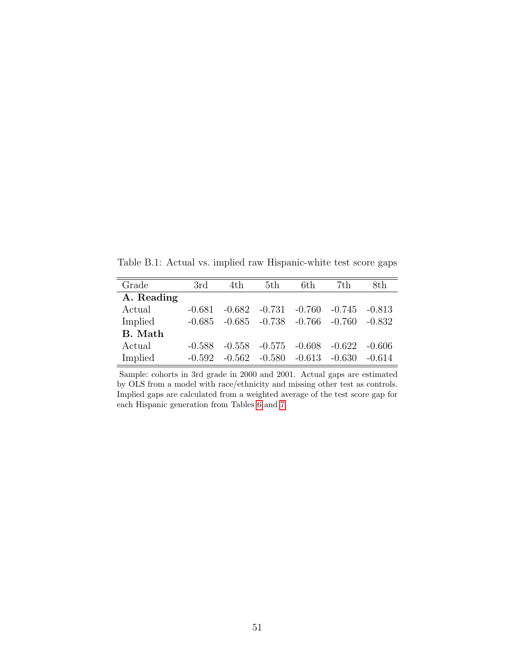<span id="page-52-0"></span>Table B.1: Actual vs. implied raw Hispanic-white test score gaps

| Grade      | 3rd      | 4th      | 5th                                 | 6th.     | 7th      | 8th      |
|------------|----------|----------|-------------------------------------|----------|----------|----------|
| A. Reading |          |          |                                     |          |          |          |
| Actual     | $-0.681$ | $-0.682$ | $-0.731$                            | -0.760   | -0.745   | $-0.813$ |
| Implied    | -0.685   |          | $-0.685$ $-0.738$ $-0.766$ $-0.760$ |          |          | $-0.832$ |
| B. Math    |          |          |                                     |          |          |          |
| Actual     | $-0.588$ | $-0.558$ | $-0.575$ $-0.608$                   |          | $-0.622$ | -0.606   |
| Implied    | $-0.592$ | $-0.562$ | $-0.580$                            | $-0.613$ | $-0.630$ | $-0.614$ |

Sample: cohorts in 3rd grade in 2000 and 2001. Actual gaps are estimated by OLS from a model with race/ethnicity and missing other test as controls. Implied gaps are calculated from a weighted average of the test score gap for each Hispanic generation from Tables [6](#page-37-0) and [7.](#page-38-0)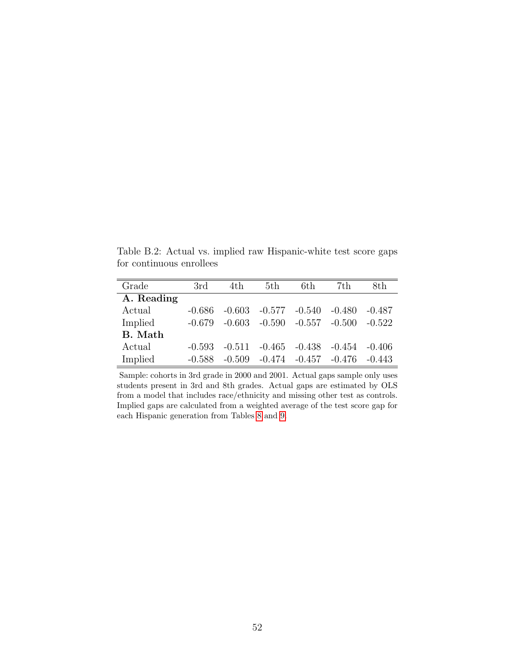<span id="page-53-0"></span>Table B.2: Actual vs. implied raw Hispanic-white test score gaps for continuous enrollees

| Grade      | 3rd      | 4th      | 5th             | 6th      | 7th      | 8th      |
|------------|----------|----------|-----------------|----------|----------|----------|
| A. Reading |          |          |                 |          |          |          |
| Actual     | -0.686   | $-0.603$ | $-0.577 -0.540$ |          | $-0.480$ | $-0.487$ |
| Implied    | $-0.679$ | $-0.603$ | $-0.590$        | $-0.557$ | $-0.500$ | $-0.522$ |
| B. Math    |          |          |                 |          |          |          |
| Actual     | $-0.593$ | $-0.511$ | $-0.465$        | $-0.438$ | -0.454   | -0.406   |
| Implied    | $-0.588$ | $-0.509$ | $-0.474$        | $-0.457$ | $-0.476$ | $-0.443$ |

Sample: cohorts in 3rd grade in 2000 and 2001. Actual gaps sample only uses students present in 3rd and 8th grades. Actual gaps are estimated by OLS from a model that includes race/ethnicity and missing other test as controls. Implied gaps are calculated from a weighted average of the test score gap for each Hispanic generation from Tables [8](#page-39-0) and [9.](#page-40-0)